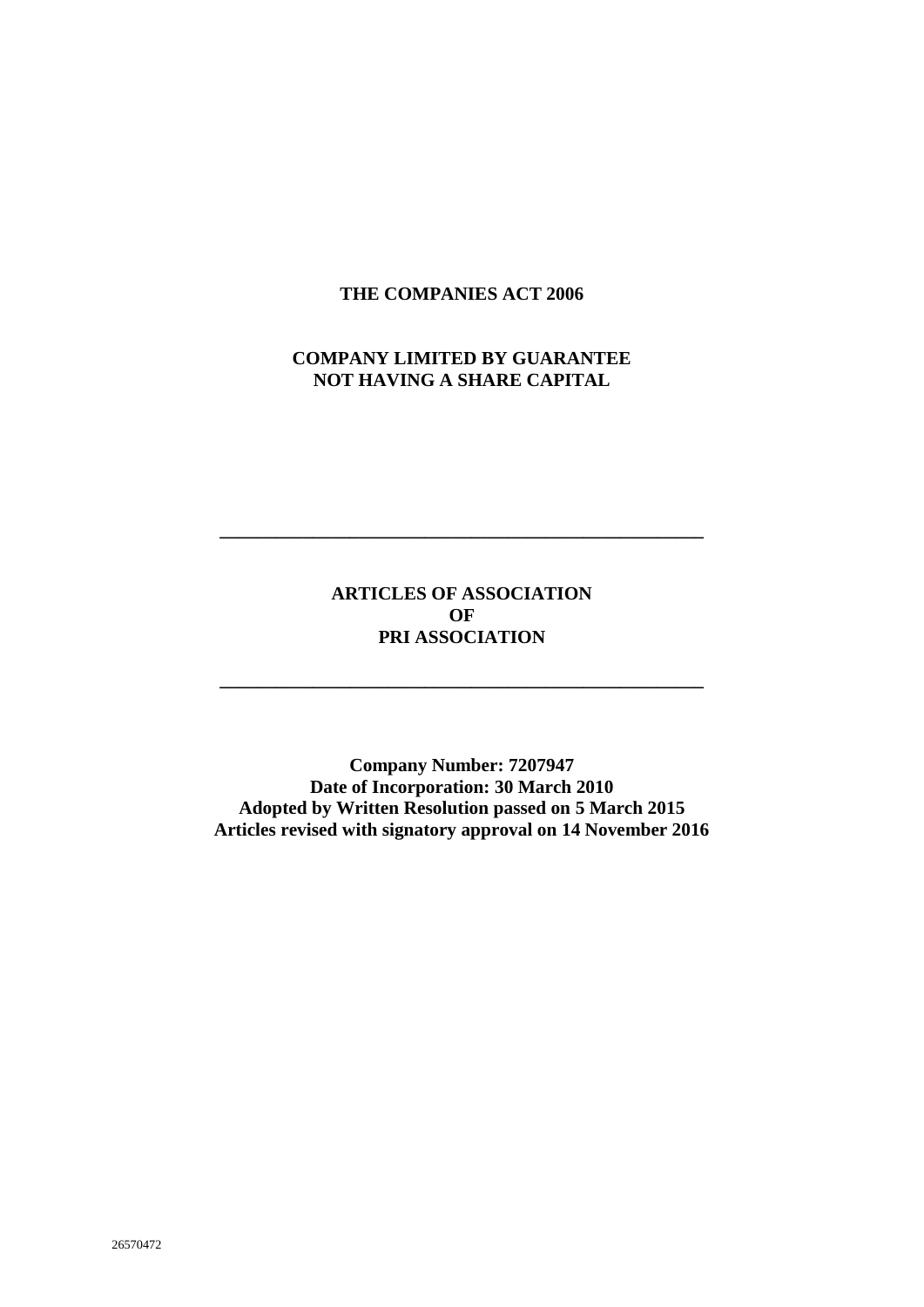#### **THE COMPANIES ACT 2006**

# **COMPANY LIMITED BY GUARANTEE NOT HAVING A SHARE CAPITAL**

# **ARTICLES OF ASSOCIATION OF PRI ASSOCIATION**

**\_\_\_\_\_\_\_\_\_\_\_\_\_\_\_\_\_\_\_\_\_\_\_\_\_\_\_\_\_\_\_\_\_\_\_\_\_\_\_\_\_\_\_\_\_\_\_\_\_\_\_\_**

**\_\_\_\_\_\_\_\_\_\_\_\_\_\_\_\_\_\_\_\_\_\_\_\_\_\_\_\_\_\_\_\_\_\_\_\_\_\_\_\_\_\_\_\_\_\_\_\_\_\_\_\_**

**Company Number: 7207947 Date of Incorporation: 30 March 2010 Adopted by Written Resolution passed on 5 March 2015 Articles revised with signatory approval on 14 November 2016**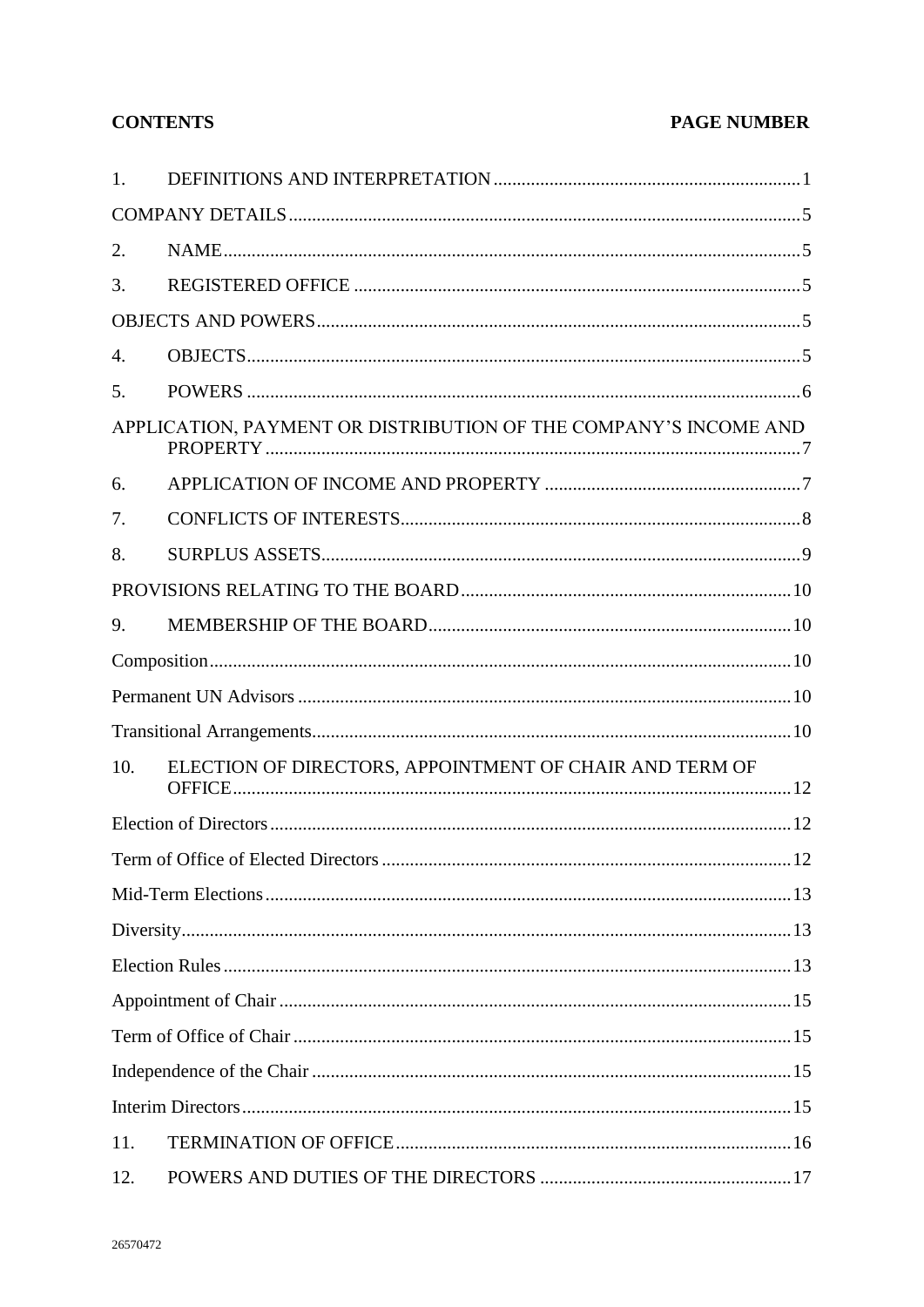# **CONTENTS**

# **PAGE NUMBER**

| 1.  |                                                                  |  |
|-----|------------------------------------------------------------------|--|
|     |                                                                  |  |
| 2.  |                                                                  |  |
| 3.  |                                                                  |  |
|     |                                                                  |  |
| 4.  |                                                                  |  |
| 5.  |                                                                  |  |
|     | APPLICATION, PAYMENT OR DISTRIBUTION OF THE COMPANY'S INCOME AND |  |
| 6.  |                                                                  |  |
| 7.  |                                                                  |  |
| 8.  |                                                                  |  |
|     |                                                                  |  |
| 9.  |                                                                  |  |
|     |                                                                  |  |
|     |                                                                  |  |
|     |                                                                  |  |
| 10. | ELECTION OF DIRECTORS, APPOINTMENT OF CHAIR AND TERM OF          |  |
|     |                                                                  |  |
|     | Term of Office of Elected Directors.<br>12                       |  |
|     |                                                                  |  |
|     |                                                                  |  |
|     |                                                                  |  |
|     |                                                                  |  |
|     |                                                                  |  |
|     |                                                                  |  |
|     |                                                                  |  |
| 11. |                                                                  |  |
| 12. |                                                                  |  |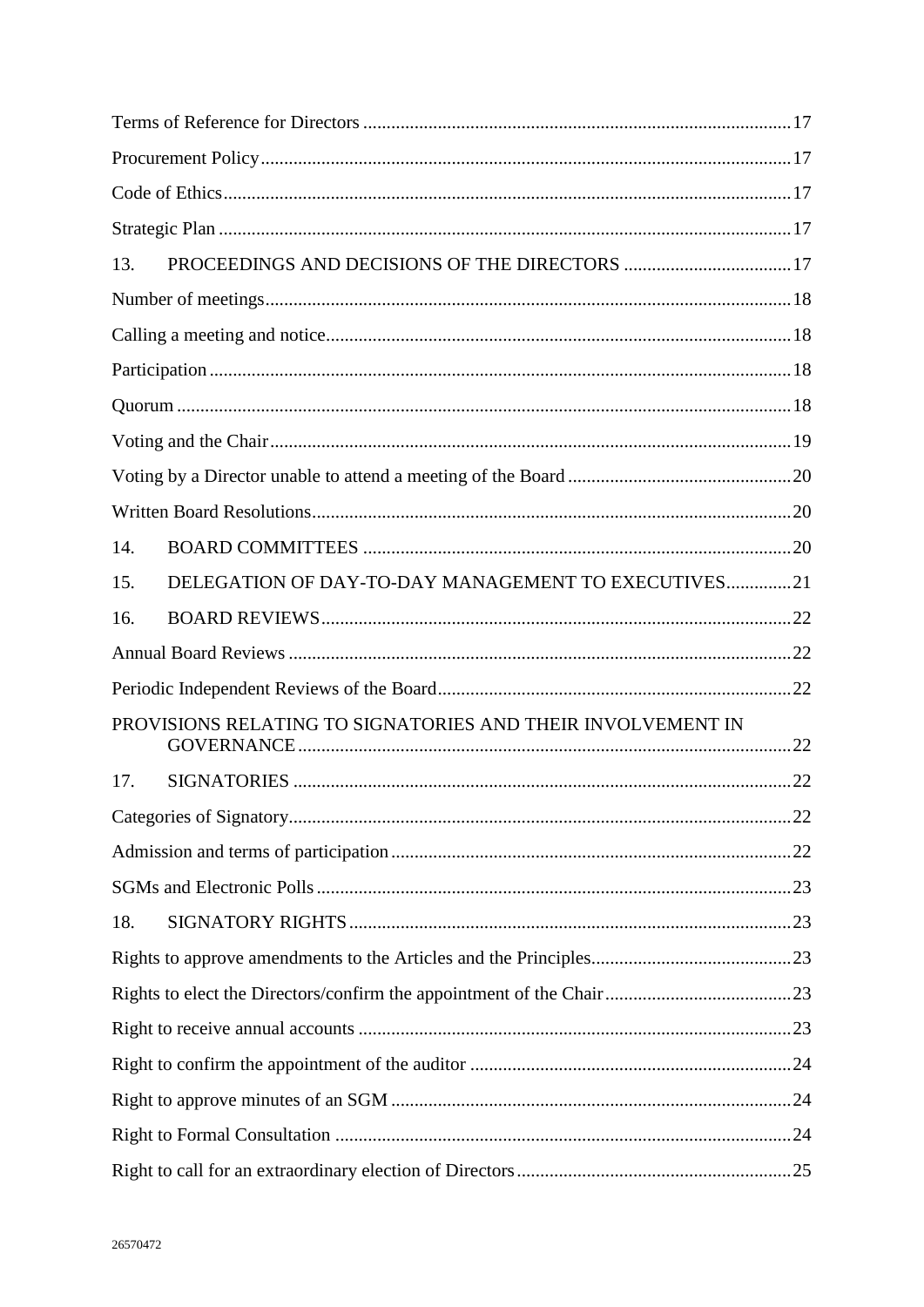| 13. |                                                             |  |
|-----|-------------------------------------------------------------|--|
|     |                                                             |  |
|     |                                                             |  |
|     |                                                             |  |
|     |                                                             |  |
|     |                                                             |  |
|     |                                                             |  |
|     |                                                             |  |
| 14. |                                                             |  |
| 15. | DELEGATION OF DAY-TO-DAY MANAGEMENT TO EXECUTIVES21         |  |
| 16. |                                                             |  |
|     |                                                             |  |
|     |                                                             |  |
|     | PROVISIONS RELATING TO SIGNATORIES AND THEIR INVOLVEMENT IN |  |
| 17. |                                                             |  |
|     |                                                             |  |
|     |                                                             |  |
|     |                                                             |  |
| 18. |                                                             |  |
|     |                                                             |  |
|     |                                                             |  |
|     |                                                             |  |
|     |                                                             |  |
|     |                                                             |  |
|     |                                                             |  |
|     |                                                             |  |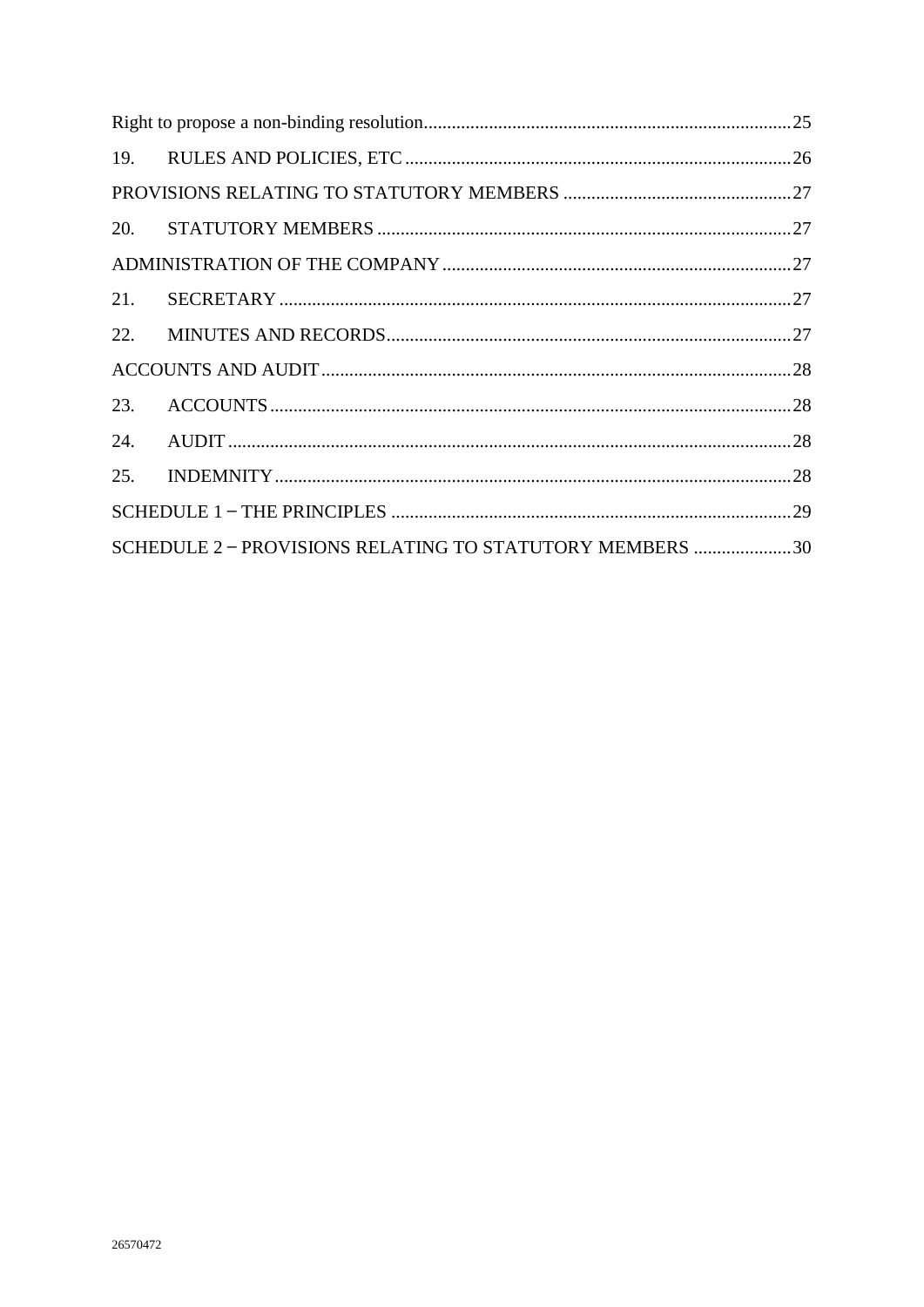| 21. |                                                          |  |  |
|-----|----------------------------------------------------------|--|--|
|     |                                                          |  |  |
|     |                                                          |  |  |
| 23. |                                                          |  |  |
| 24. |                                                          |  |  |
| 25. |                                                          |  |  |
|     |                                                          |  |  |
|     | SCHEDULE 2 - PROVISIONS RELATING TO STATUTORY MEMBERS 30 |  |  |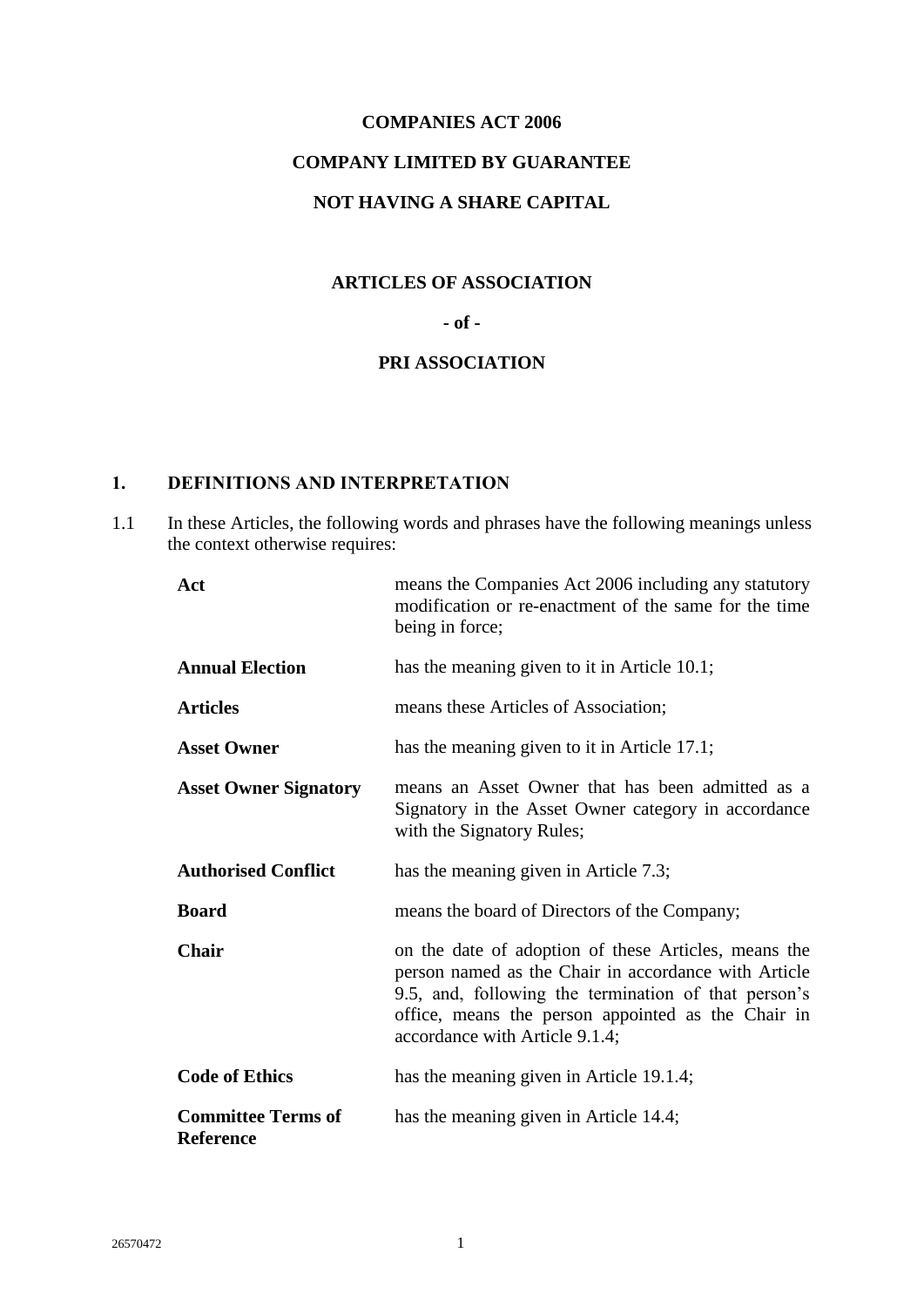# **COMPANIES ACT 2006 COMPANY LIMITED BY GUARANTEE NOT HAVING A SHARE CAPITAL**

# **ARTICLES OF ASSOCIATION**

## **- of -**

# **PRI ASSOCIATION**

# <span id="page-4-0"></span>**1. DEFINITIONS AND INTERPRETATION**

1.1 In these Articles, the following words and phrases have the following meanings unless the context otherwise requires:

| Act                                           | means the Companies Act 2006 including any statutory<br>modification or re-enactment of the same for the time<br>being in force;                                                                                                                             |
|-----------------------------------------------|--------------------------------------------------------------------------------------------------------------------------------------------------------------------------------------------------------------------------------------------------------------|
| <b>Annual Election</b>                        | has the meaning given to it in Article 10.1;                                                                                                                                                                                                                 |
| <b>Articles</b>                               | means these Articles of Association;                                                                                                                                                                                                                         |
| <b>Asset Owner</b>                            | has the meaning given to it in Article 17.1;                                                                                                                                                                                                                 |
| <b>Asset Owner Signatory</b>                  | means an Asset Owner that has been admitted as a<br>Signatory in the Asset Owner category in accordance<br>with the Signatory Rules;                                                                                                                         |
| <b>Authorised Conflict</b>                    | has the meaning given in Article 7.3;                                                                                                                                                                                                                        |
| <b>Board</b>                                  | means the board of Directors of the Company;                                                                                                                                                                                                                 |
| <b>Chair</b>                                  | on the date of adoption of these Articles, means the<br>person named as the Chair in accordance with Article<br>9.5, and, following the termination of that person's<br>office, means the person appointed as the Chair in<br>accordance with Article 9.1.4; |
| <b>Code of Ethics</b>                         | has the meaning given in Article 19.1.4;                                                                                                                                                                                                                     |
| <b>Committee Terms of</b><br><b>Reference</b> | has the meaning given in Article 14.4;                                                                                                                                                                                                                       |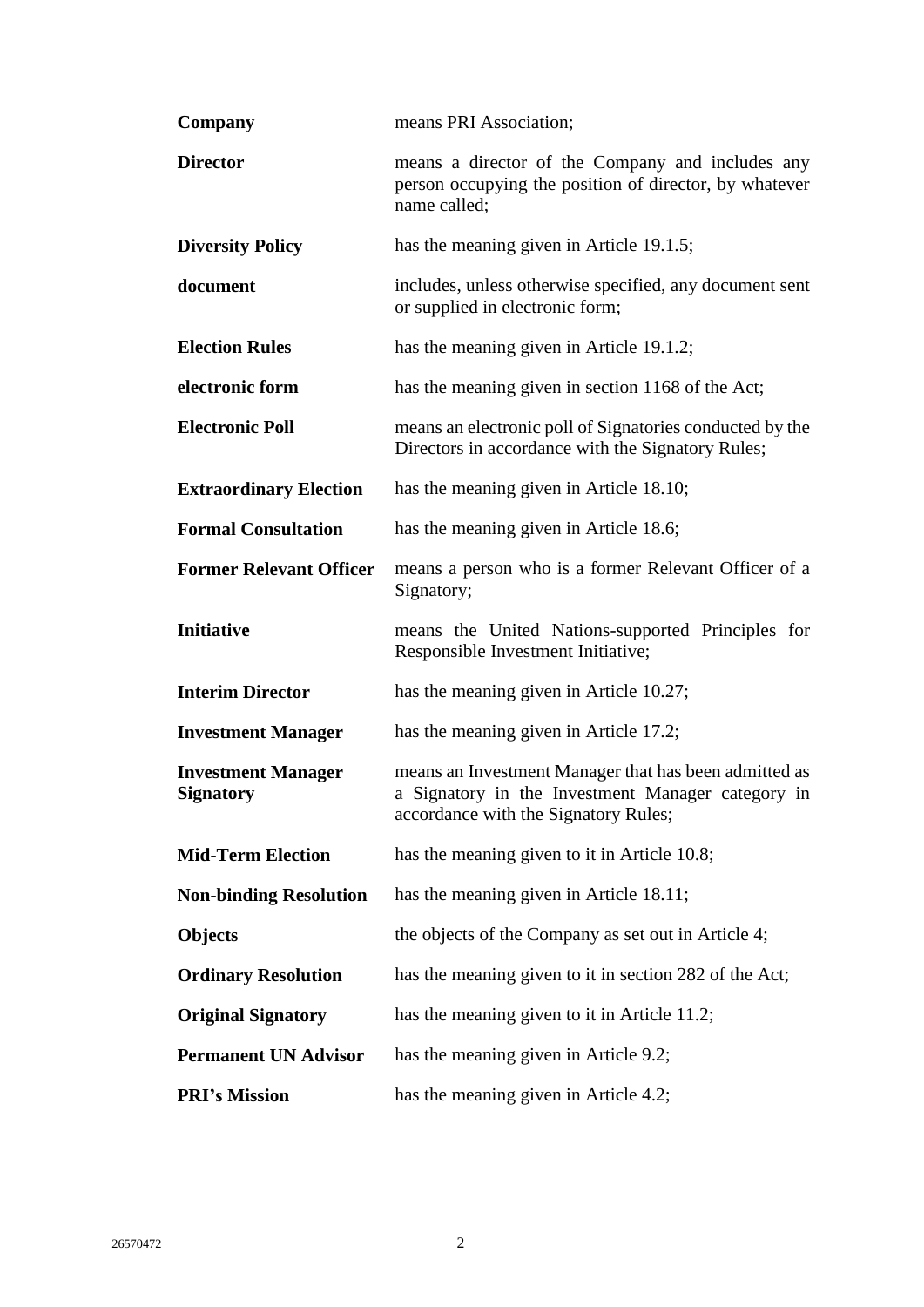| Company                                       | means PRI Association;                                                                                                                             |  |
|-----------------------------------------------|----------------------------------------------------------------------------------------------------------------------------------------------------|--|
| <b>Director</b>                               | means a director of the Company and includes any<br>person occupying the position of director, by whatever<br>name called;                         |  |
| <b>Diversity Policy</b>                       | has the meaning given in Article 19.1.5;                                                                                                           |  |
| document                                      | includes, unless otherwise specified, any document sent<br>or supplied in electronic form;                                                         |  |
| <b>Election Rules</b>                         | has the meaning given in Article 19.1.2;                                                                                                           |  |
| electronic form                               | has the meaning given in section 1168 of the Act;                                                                                                  |  |
| <b>Electronic Poll</b>                        | means an electronic poll of Signatories conducted by the<br>Directors in accordance with the Signatory Rules;                                      |  |
| <b>Extraordinary Election</b>                 | has the meaning given in Article 18.10;                                                                                                            |  |
| <b>Formal Consultation</b>                    | has the meaning given in Article 18.6;                                                                                                             |  |
| <b>Former Relevant Officer</b>                | means a person who is a former Relevant Officer of a<br>Signatory;                                                                                 |  |
|                                               |                                                                                                                                                    |  |
| <b>Initiative</b>                             | means the United Nations-supported Principles for<br>Responsible Investment Initiative;                                                            |  |
| <b>Interim Director</b>                       | has the meaning given in Article 10.27;                                                                                                            |  |
| <b>Investment Manager</b>                     | has the meaning given in Article 17.2;                                                                                                             |  |
| <b>Investment Manager</b><br><b>Signatory</b> | means an Investment Manager that has been admitted as<br>a Signatory in the Investment Manager category in<br>accordance with the Signatory Rules; |  |
| <b>Mid-Term Election</b>                      | has the meaning given to it in Article 10.8;                                                                                                       |  |
| <b>Non-binding Resolution</b>                 | has the meaning given in Article 18.11;                                                                                                            |  |
| <b>Objects</b>                                | the objects of the Company as set out in Article 4;                                                                                                |  |
| <b>Ordinary Resolution</b>                    | has the meaning given to it in section 282 of the Act;                                                                                             |  |
| <b>Original Signatory</b>                     | has the meaning given to it in Article 11.2;                                                                                                       |  |
| <b>Permanent UN Advisor</b>                   | has the meaning given in Article 9.2;                                                                                                              |  |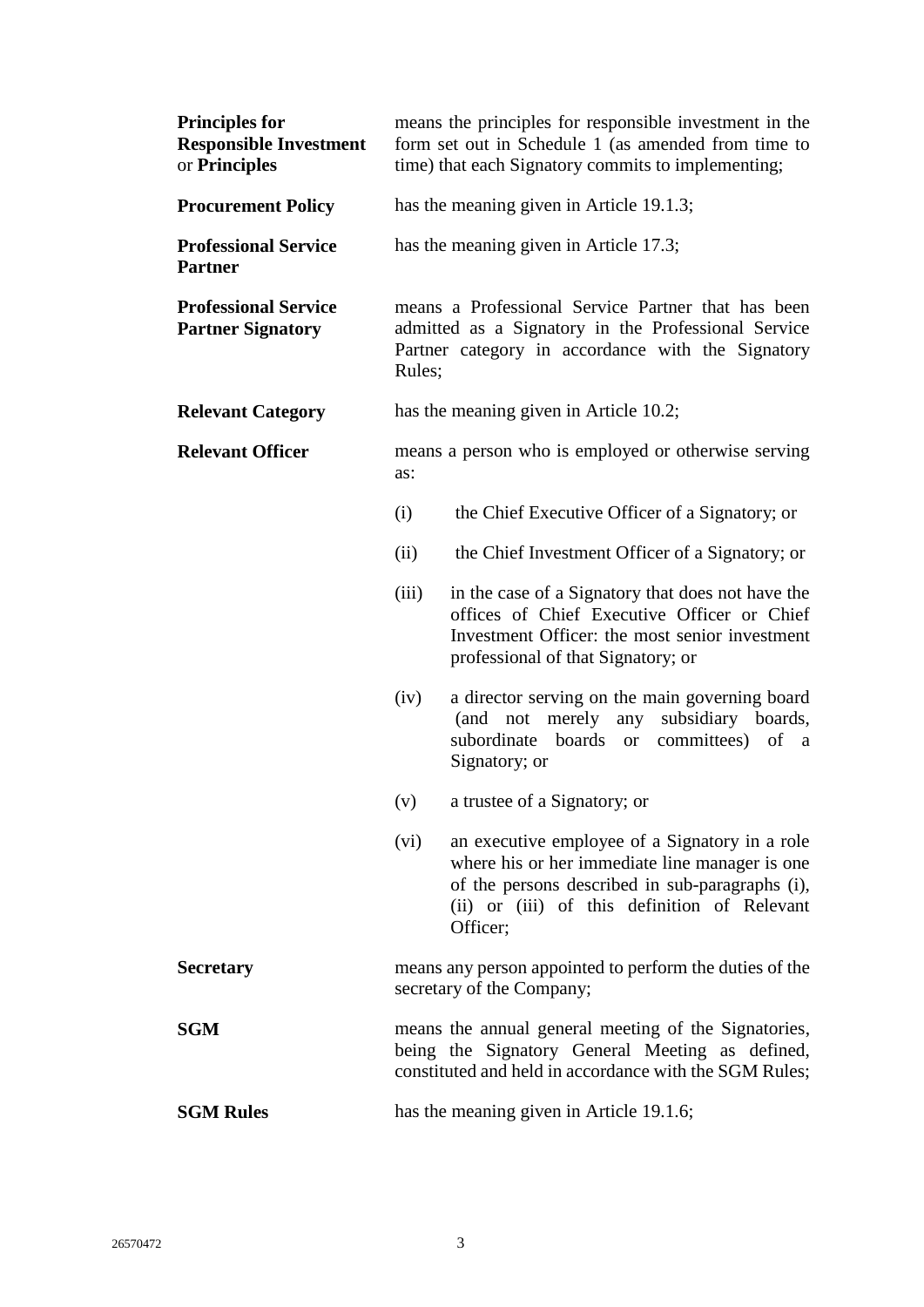| <b>Principles for</b><br><b>Responsible Investment</b><br>or Principles | means the principles for responsible investment in the<br>form set out in Schedule 1 (as amended from time to<br>time) that each Signatory commits to implementing;      |                                                                                                                                                                                                     |  |
|-------------------------------------------------------------------------|--------------------------------------------------------------------------------------------------------------------------------------------------------------------------|-----------------------------------------------------------------------------------------------------------------------------------------------------------------------------------------------------|--|
| <b>Procurement Policy</b>                                               | has the meaning given in Article 19.1.3;                                                                                                                                 |                                                                                                                                                                                                     |  |
| <b>Professional Service</b><br><b>Partner</b>                           | has the meaning given in Article 17.3;                                                                                                                                   |                                                                                                                                                                                                     |  |
| <b>Professional Service</b><br><b>Partner Signatory</b>                 | means a Professional Service Partner that has been<br>admitted as a Signatory in the Professional Service<br>Partner category in accordance with the Signatory<br>Rules; |                                                                                                                                                                                                     |  |
| <b>Relevant Category</b>                                                |                                                                                                                                                                          | has the meaning given in Article 10.2;                                                                                                                                                              |  |
| <b>Relevant Officer</b>                                                 | means a person who is employed or otherwise serving<br>as:                                                                                                               |                                                                                                                                                                                                     |  |
|                                                                         | (i)                                                                                                                                                                      | the Chief Executive Officer of a Signatory; or                                                                                                                                                      |  |
|                                                                         | (ii)                                                                                                                                                                     | the Chief Investment Officer of a Signatory; or                                                                                                                                                     |  |
|                                                                         | (iii)                                                                                                                                                                    | in the case of a Signatory that does not have the<br>offices of Chief Executive Officer or Chief<br>Investment Officer: the most senior investment<br>professional of that Signatory; or            |  |
|                                                                         | (iv)<br>(and<br>Signatory; or                                                                                                                                            | a director serving on the main governing board<br>merely<br>any<br>subsidiary boards,<br>not<br>subordinate boards or committees) of a                                                              |  |
|                                                                         | (v)                                                                                                                                                                      | a trustee of a Signatory; or                                                                                                                                                                        |  |
|                                                                         | (vi)<br>Officer;                                                                                                                                                         | an executive employee of a Signatory in a role<br>where his or her immediate line manager is one<br>of the persons described in sub-paragraphs (i),<br>(ii) or (iii) of this definition of Relevant |  |
| <b>Secretary</b>                                                        | means any person appointed to perform the duties of the<br>secretary of the Company;                                                                                     |                                                                                                                                                                                                     |  |
| <b>SGM</b>                                                              | means the annual general meeting of the Signatories,<br>being the Signatory General Meeting as defined,<br>constituted and held in accordance with the SGM Rules;        |                                                                                                                                                                                                     |  |
| <b>SGM Rules</b>                                                        | has the meaning given in Article 19.1.6;                                                                                                                                 |                                                                                                                                                                                                     |  |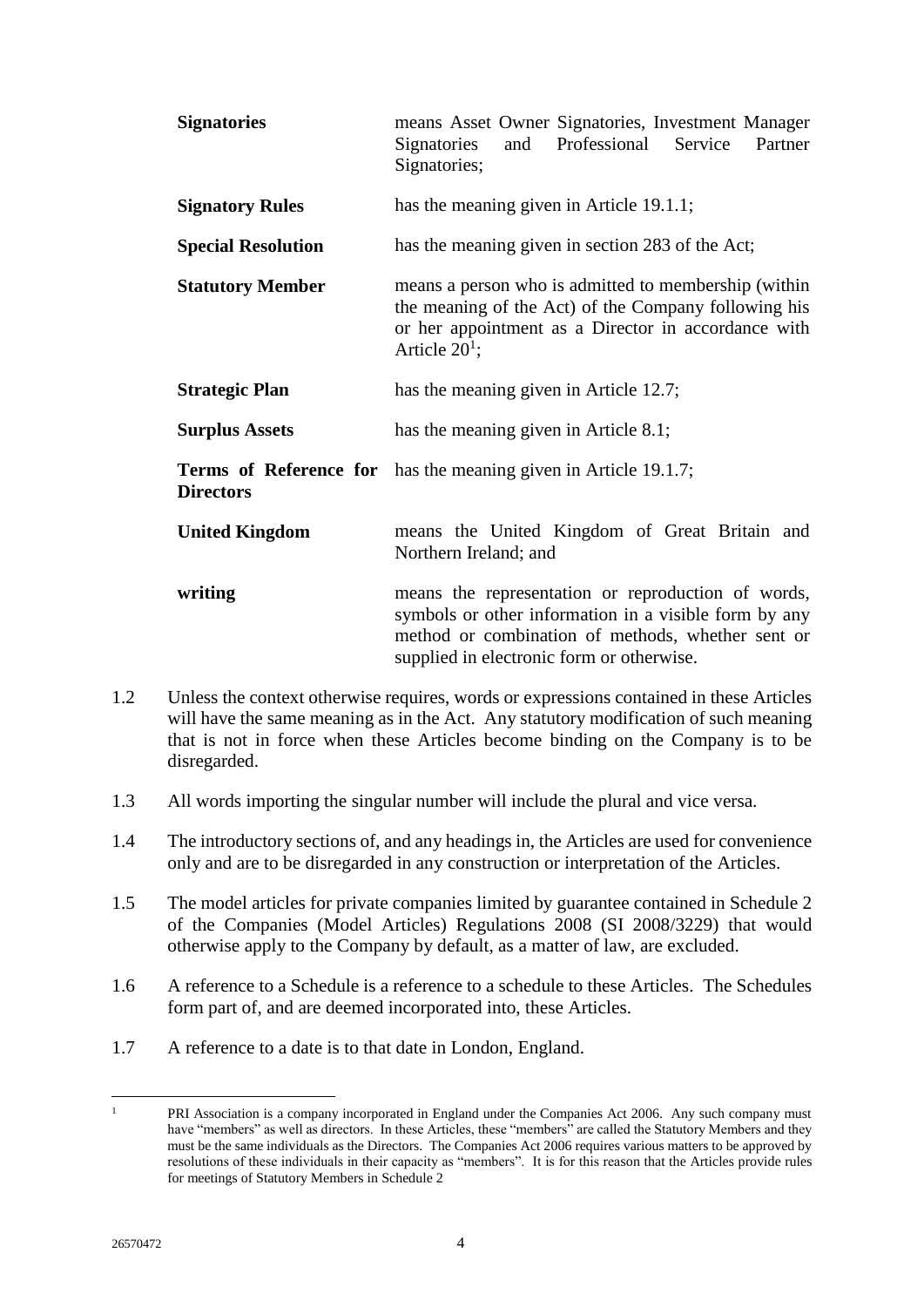| <b>Signatories</b>        | means Asset Owner Signatories, Investment Manager<br>and Professional Service<br>Signatories<br>Partner<br>Signatories;                                                                                       |  |
|---------------------------|---------------------------------------------------------------------------------------------------------------------------------------------------------------------------------------------------------------|--|
| <b>Signatory Rules</b>    | has the meaning given in Article 19.1.1;                                                                                                                                                                      |  |
| <b>Special Resolution</b> | has the meaning given in section 283 of the Act;                                                                                                                                                              |  |
| <b>Statutory Member</b>   | means a person who is admitted to membership (within<br>the meaning of the Act) of the Company following his<br>or her appointment as a Director in accordance with<br>Article $20^1$ ;                       |  |
| <b>Strategic Plan</b>     | has the meaning given in Article 12.7;                                                                                                                                                                        |  |
| <b>Surplus Assets</b>     | has the meaning given in Article 8.1;                                                                                                                                                                         |  |
| <b>Directors</b>          | <b>Terms of Reference for</b> has the meaning given in Article 19.1.7;                                                                                                                                        |  |
| <b>United Kingdom</b>     | means the United Kingdom of Great Britain and<br>Northern Ireland; and                                                                                                                                        |  |
| writing                   | means the representation or reproduction of words,<br>symbols or other information in a visible form by any<br>method or combination of methods, whether sent or<br>supplied in electronic form or otherwise. |  |

- 1.2 Unless the context otherwise requires, words or expressions contained in these Articles will have the same meaning as in the Act. Any statutory modification of such meaning that is not in force when these Articles become binding on the Company is to be disregarded.
- 1.3 All words importing the singular number will include the plural and vice versa.
- 1.4 The introductory sections of, and any headings in, the Articles are used for convenience only and are to be disregarded in any construction or interpretation of the Articles.
- 1.5 The model articles for private companies limited by guarantee contained in Schedule 2 of the Companies (Model Articles) Regulations 2008 (SI 2008/3229) that would otherwise apply to the Company by default, as a matter of law, are excluded.
- 1.6 A reference to a Schedule is a reference to a schedule to these Articles. The Schedules form part of, and are deemed incorporated into, these Articles.
- 1.7 A reference to a date is to that date in London, England.

 $\mathbf{1}$ PRI Association is a company incorporated in England under the Companies Act 2006. Any such company must have "members" as well as directors. In these Articles, these "members" are called the Statutory Members and they must be the same individuals as the Directors. The Companies Act 2006 requires various matters to be approved by resolutions of these individuals in their capacity as "members". It is for this reason that the Articles provide rules for meetings of Statutory Members in Schedule 2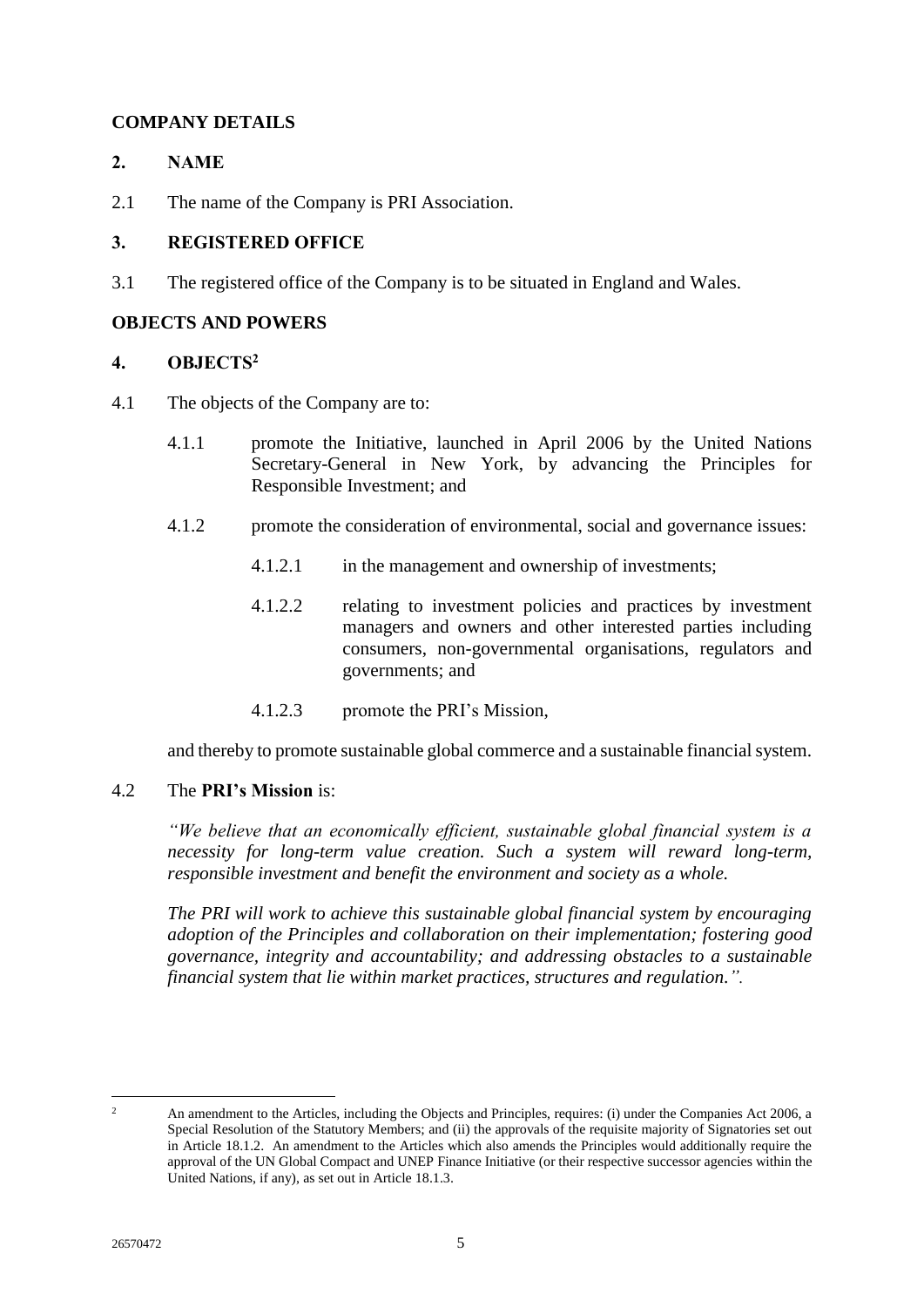# <span id="page-8-0"></span>**COMPANY DETAILS**

# <span id="page-8-1"></span>**2. NAME**

2.1 The name of the Company is PRI Association.

# <span id="page-8-2"></span>**3. REGISTERED OFFICE**

3.1 The registered office of the Company is to be situated in England and Wales.

# <span id="page-8-3"></span>**OBJECTS AND POWERS**

# <span id="page-8-4"></span>**4. OBJECTS<sup>2</sup>**

- 4.1 The objects of the Company are to:
	- 4.1.1 promote the Initiative, launched in April 2006 by the United Nations Secretary-General in New York, by advancing the Principles for Responsible Investment; and
	- 4.1.2 promote the consideration of environmental, social and governance issues:
		- 4.1.2.1 in the management and ownership of investments;
		- 4.1.2.2 relating to investment policies and practices by investment managers and owners and other interested parties including consumers, non-governmental organisations, regulators and governments; and
		- 4.1.2.3 promote the PRI's Mission,

and thereby to promote sustainable global commerce and a sustainable financial system.

# <span id="page-8-5"></span>4.2 The **PRI's Mission** is:

*"We believe that an economically efficient, sustainable global financial system is a necessity for long-term value creation. Such a system will reward long-term, responsible investment and benefit the environment and society as a whole.*

*The PRI will work to achieve this sustainable global financial system by encouraging adoption of the Principles and collaboration on their implementation; fostering good governance, integrity and accountability; and addressing obstacles to a sustainable financial system that lie within market practices, structures and regulation.".*

 $\mathcal{L}$ 

<sup>2</sup> An amendment to the Articles, including the Objects and Principles, requires: (i) under the Companies Act 2006, a Special Resolution of the Statutory Members; and (ii) the approvals of the requisite majority of Signatories set out in Article 18.1.2. An amendment to the Articles which also amends the Principles would additionally require the approval of the UN Global Compact and UNEP Finance Initiative (or their respective successor agencies within the United Nations, if any), as set out in Article 18.1.3.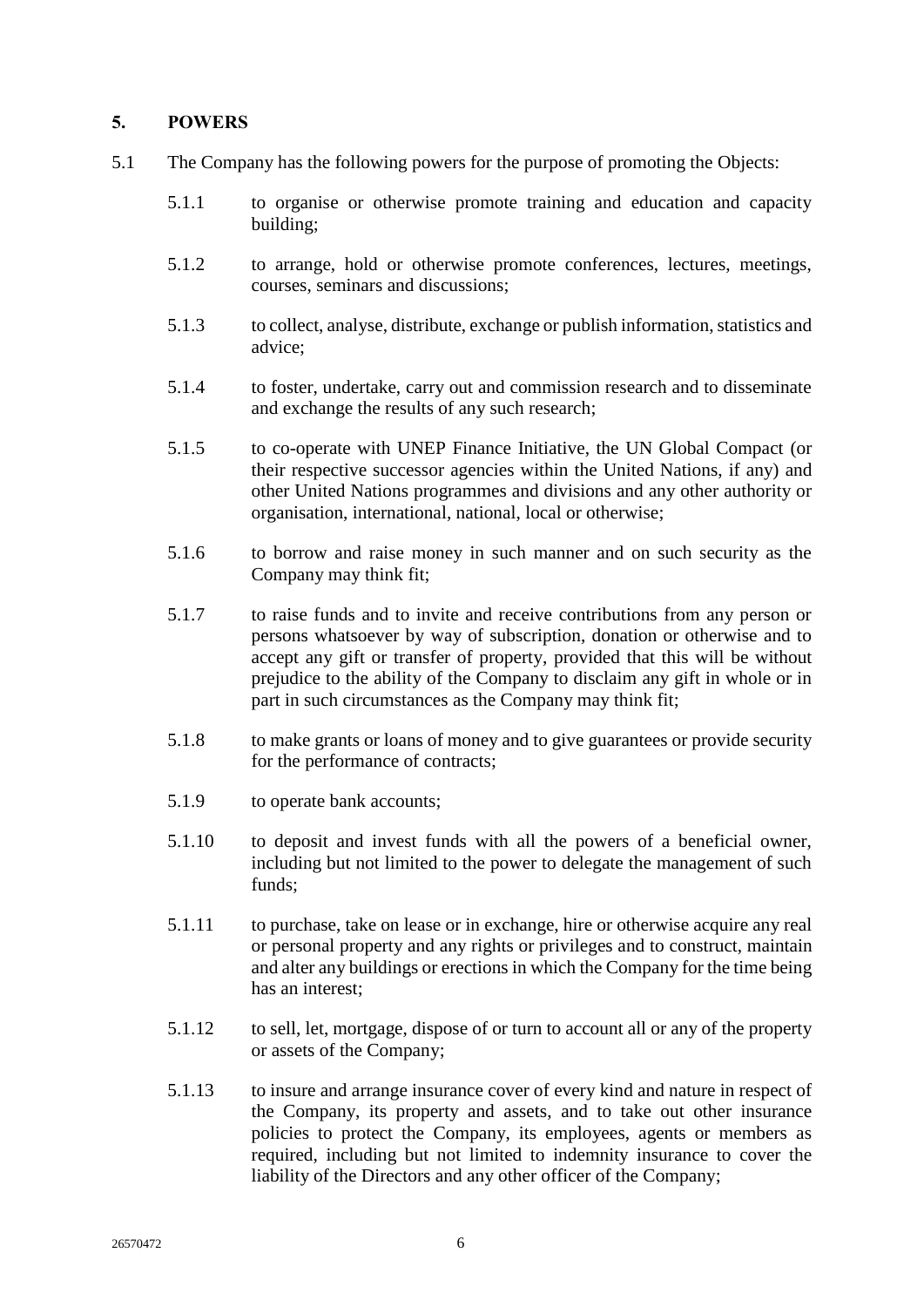# <span id="page-9-0"></span>**5. POWERS**

- 5.1 The Company has the following powers for the purpose of promoting the Objects:
	- 5.1.1 to organise or otherwise promote training and education and capacity building;
	- 5.1.2 to arrange, hold or otherwise promote conferences, lectures, meetings, courses, seminars and discussions;
	- 5.1.3 to collect, analyse, distribute, exchange or publish information, statistics and advice;
	- 5.1.4 to foster, undertake, carry out and commission research and to disseminate and exchange the results of any such research;
	- 5.1.5 to co-operate with UNEP Finance Initiative, the UN Global Compact (or their respective successor agencies within the United Nations, if any) and other United Nations programmes and divisions and any other authority or organisation, international, national, local or otherwise;
	- 5.1.6 to borrow and raise money in such manner and on such security as the Company may think fit;
	- 5.1.7 to raise funds and to invite and receive contributions from any person or persons whatsoever by way of subscription, donation or otherwise and to accept any gift or transfer of property, provided that this will be without prejudice to the ability of the Company to disclaim any gift in whole or in part in such circumstances as the Company may think fit;
	- 5.1.8 to make grants or loans of money and to give guarantees or provide security for the performance of contracts;
	- 5.1.9 to operate bank accounts;
	- 5.1.10 to deposit and invest funds with all the powers of a beneficial owner, including but not limited to the power to delegate the management of such funds;
	- 5.1.11 to purchase, take on lease or in exchange, hire or otherwise acquire any real or personal property and any rights or privileges and to construct, maintain and alter any buildings or erections in which the Company for the time being has an interest;
	- 5.1.12 to sell, let, mortgage, dispose of or turn to account all or any of the property or assets of the Company;
	- 5.1.13 to insure and arrange insurance cover of every kind and nature in respect of the Company, its property and assets, and to take out other insurance policies to protect the Company, its employees, agents or members as required, including but not limited to indemnity insurance to cover the liability of the Directors and any other officer of the Company;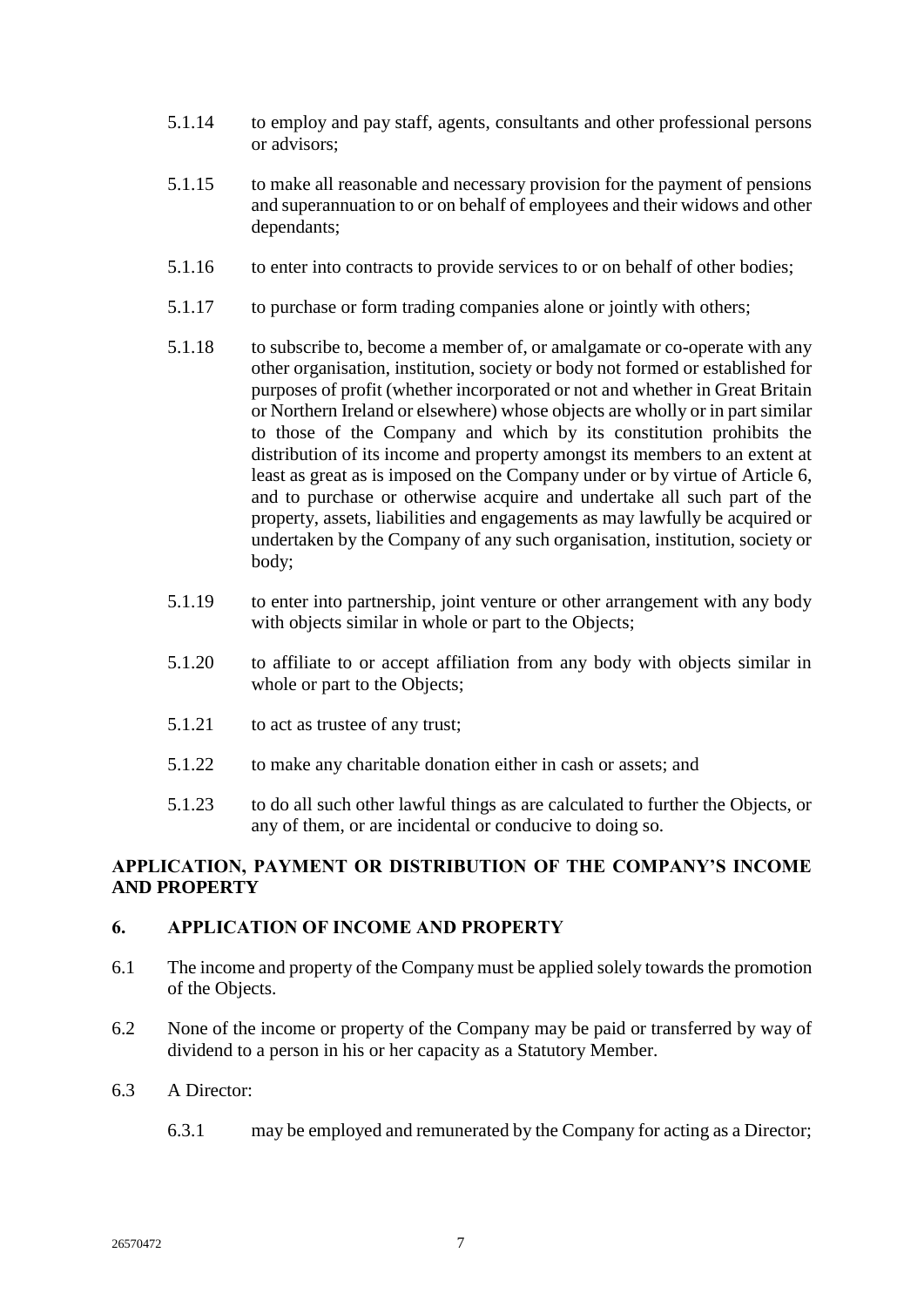- 5.1.14 to employ and pay staff, agents, consultants and other professional persons or advisors;
- 5.1.15 to make all reasonable and necessary provision for the payment of pensions and superannuation to or on behalf of employees and their widows and other dependants;
- 5.1.16 to enter into contracts to provide services to or on behalf of other bodies;
- 5.1.17 to purchase or form trading companies alone or jointly with others;
- 5.1.18 to subscribe to, become a member of, or amalgamate or co-operate with any other organisation, institution, society or body not formed or established for purposes of profit (whether incorporated or not and whether in Great Britain or Northern Ireland or elsewhere) whose objects are wholly or in part similar to those of the Company and which by its constitution prohibits the distribution of its income and property amongst its members to an extent at least as great as is imposed on the Company under or by virtue of Article [6,](#page-10-1) and to purchase or otherwise acquire and undertake all such part of the property, assets, liabilities and engagements as may lawfully be acquired or undertaken by the Company of any such organisation, institution, society or body;
- 5.1.19 to enter into partnership, joint venture or other arrangement with any body with objects similar in whole or part to the Objects:
- 5.1.20 to affiliate to or accept affiliation from any body with objects similar in whole or part to the Objects;
- 5.1.21 to act as trustee of any trust;
- 5.1.22 to make any charitable donation either in cash or assets; and
- 5.1.23 to do all such other lawful things as are calculated to further the Objects, or any of them, or are incidental or conducive to doing so.

# <span id="page-10-0"></span>**APPLICATION, PAYMENT OR DISTRIBUTION OF THE COMPANY'S INCOME AND PROPERTY**

## <span id="page-10-1"></span>**6. APPLICATION OF INCOME AND PROPERTY**

- 6.1 The income and property of the Company must be applied solely towards the promotion of the Objects.
- 6.2 None of the income or property of the Company may be paid or transferred by way of dividend to a person in his or her capacity as a Statutory Member.
- 6.3 A Director:
	- 6.3.1 may be employed and remunerated by the Company for acting as a Director;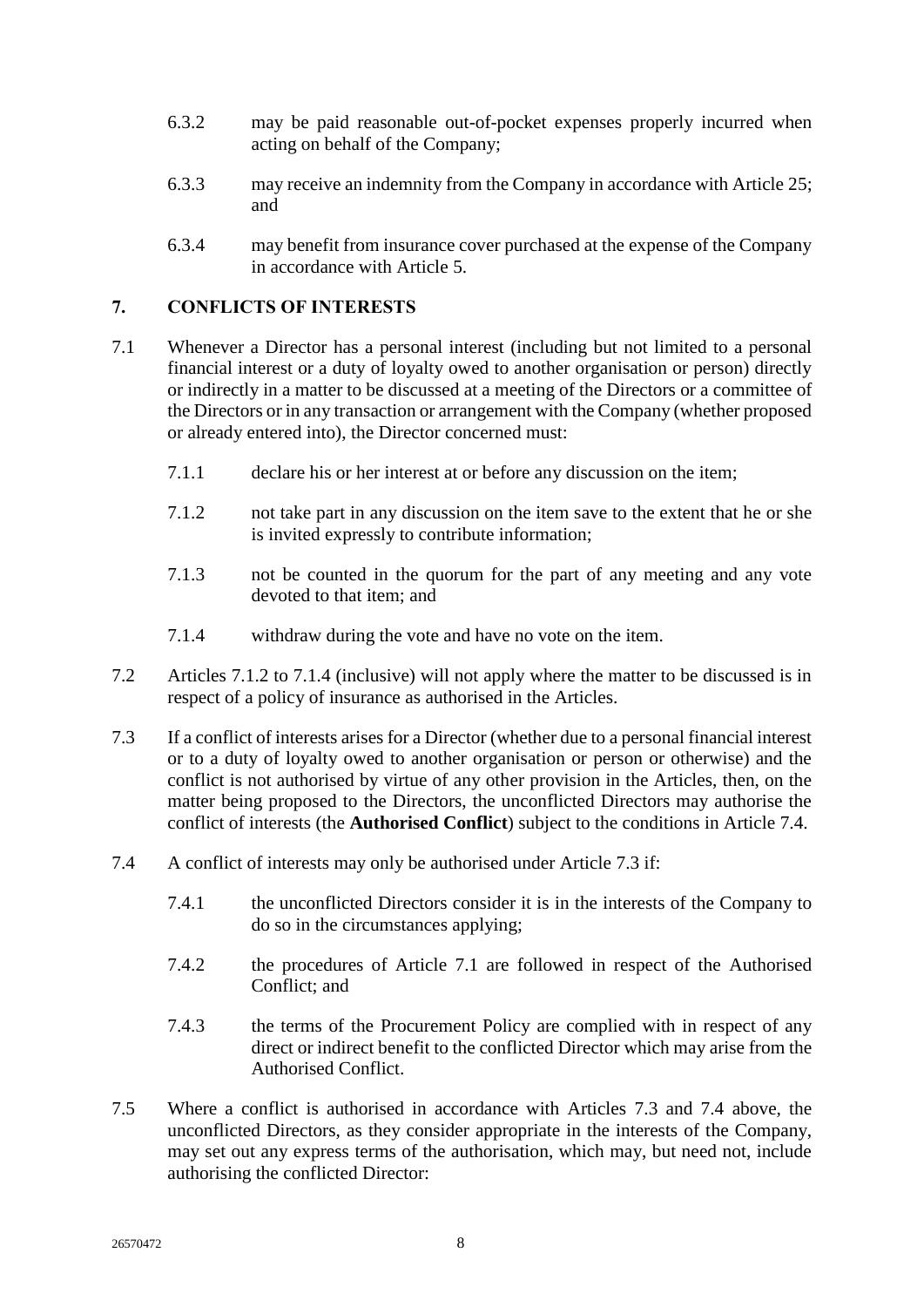- 6.3.2 may be paid reasonable out-of-pocket expenses properly incurred when acting on behalf of the Company;
- 6.3.3 may receive an indemnity from the Company in accordance with Article [25;](#page-31-3) and
- 6.3.4 may benefit from insurance cover purchased at the expense of the Company in accordance with Article [5.](#page-9-0)

# <span id="page-11-0"></span>**7. CONFLICTS OF INTERESTS**

- <span id="page-11-5"></span>7.1 Whenever a Director has a personal interest (including but not limited to a personal financial interest or a duty of loyalty owed to another organisation or person) directly or indirectly in a matter to be discussed at a meeting of the Directors or a committee of the Directors or in any transaction or arrangement with the Company (whether proposed or already entered into), the Director concerned must:
	- 7.1.1 declare his or her interest at or before any discussion on the item;
	- 7.1.2 not take part in any discussion on the item save to the extent that he or she is invited expressly to contribute information;
	- 7.1.3 not be counted in the quorum for the part of any meeting and any vote devoted to that item; and
	- 7.1.4 withdraw during the vote and have no vote on the item.
- <span id="page-11-3"></span><span id="page-11-2"></span>7.2 Articles [7.1.2](#page-11-2) to [7.1.4](#page-11-3) (inclusive) will not apply where the matter to be discussed is in respect of a policy of insurance as authorised in the Articles.
- <span id="page-11-1"></span>7.3 If a conflict of interests arises for a Director (whether due to a personal financial interest or to a duty of loyalty owed to another organisation or person or otherwise) and the conflict is not authorised by virtue of any other provision in the Articles, then, on the matter being proposed to the Directors, the unconflicted Directors may authorise the conflict of interests (the **Authorised Conflict**) subject to the conditions in Article [7.4.](#page-11-4)
- <span id="page-11-4"></span>7.4 A conflict of interests may only be authorised under Article [7.3](#page-11-1) if:
	- 7.4.1 the unconflicted Directors consider it is in the interests of the Company to do so in the circumstances applying;
	- 7.4.2 the procedures of Article [7.1](#page-11-5) are followed in respect of the Authorised Conflict; and
	- 7.4.3 the terms of the Procurement Policy are complied with in respect of any direct or indirect benefit to the conflicted Director which may arise from the Authorised Conflict.
- 7.5 Where a conflict is authorised in accordance with Articles [7.3](#page-11-1) and [7.4](#page-11-4) above, the unconflicted Directors, as they consider appropriate in the interests of the Company, may set out any express terms of the authorisation, which may, but need not, include authorising the conflicted Director: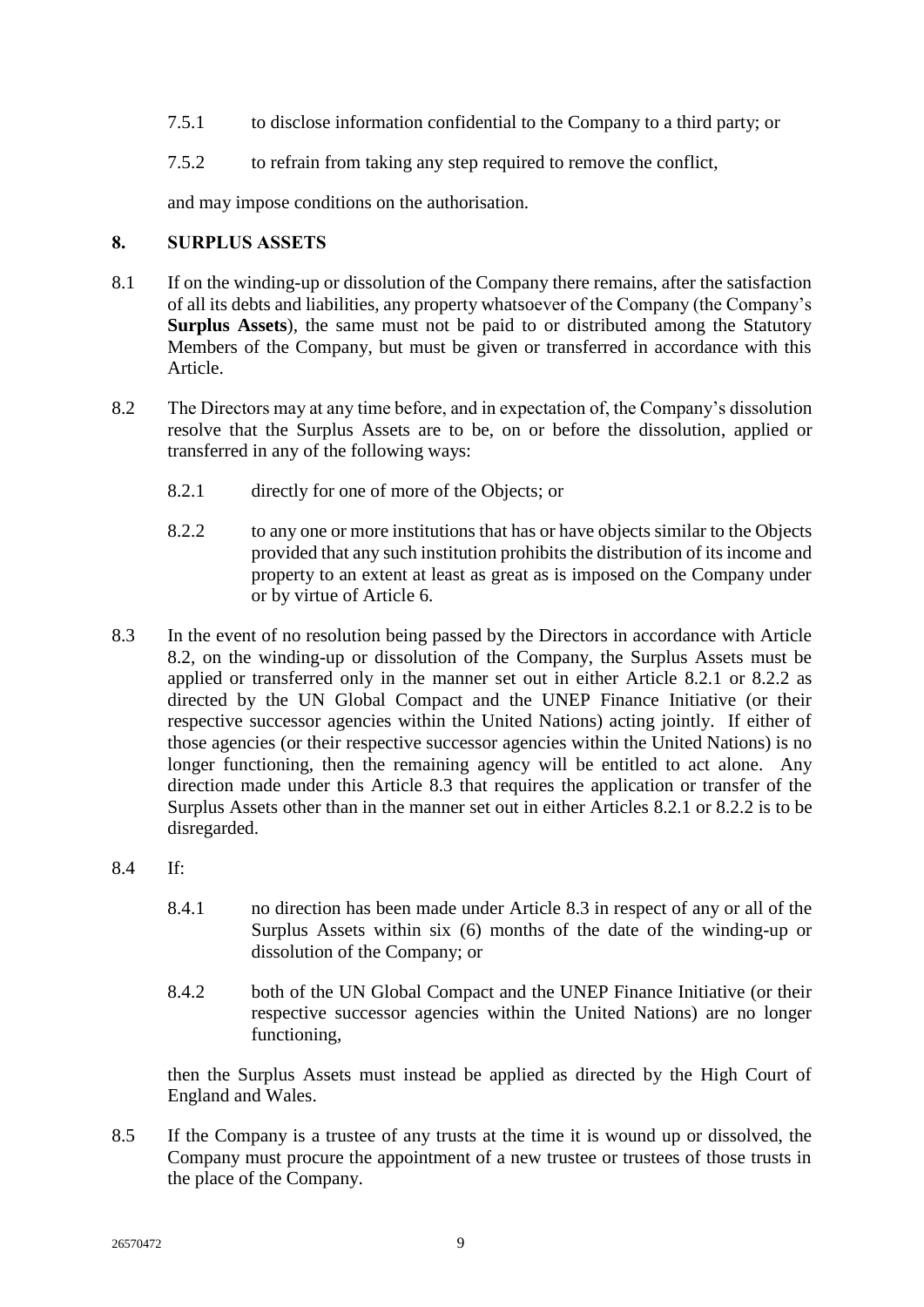- 7.5.1 to disclose information confidential to the Company to a third party; or
- 7.5.2 to refrain from taking any step required to remove the conflict,

and may impose conditions on the authorisation.

# <span id="page-12-0"></span>**8. SURPLUS ASSETS**

- <span id="page-12-1"></span>8.1 If on the winding-up or dissolution of the Company there remains, after the satisfaction of all its debts and liabilities, any property whatsoever of the Company (the Company's **Surplus Assets**), the same must not be paid to or distributed among the Statutory Members of the Company, but must be given or transferred in accordance with this Article.
- <span id="page-12-3"></span><span id="page-12-2"></span>8.2 The Directors may at any time before, and in expectation of, the Company's dissolution resolve that the Surplus Assets are to be, on or before the dissolution, applied or transferred in any of the following ways:
	- 8.2.1 directly for one of more of the Objects; or
	- 8.2.2 to any one or more institutions that has or have objects similar to the Objects provided that any such institution prohibits the distribution of its income and property to an extent at least as great as is imposed on the Company under or by virtue of Article [6.](#page-10-1)
- <span id="page-12-5"></span><span id="page-12-4"></span>8.3 In the event of no resolution being passed by the Directors in accordance with Article [8.2,](#page-12-2) on the winding-up or dissolution of the Company, the Surplus Assets must be applied or transferred only in the manner set out in either Article [8.2.1](#page-12-3) or [8.2.2](#page-12-4) as directed by the UN Global Compact and the UNEP Finance Initiative (or their respective successor agencies within the United Nations) acting jointly. If either of those agencies (or their respective successor agencies within the United Nations) is no longer functioning, then the remaining agency will be entitled to act alone. Any direction made under this Article [8.3](#page-12-5) that requires the application or transfer of the Surplus Assets other than in the manner set out in either Articles [8.2.1](#page-12-3) or [8.2.2](#page-12-4) is to be disregarded.
- 8.4 If:
	- 8.4.1 no direction has been made under Article [8.3](#page-12-5) in respect of any or all of the Surplus Assets within six (6) months of the date of the winding-up or dissolution of the Company; or
	- 8.4.2 both of the UN Global Compact and the UNEP Finance Initiative (or their respective successor agencies within the United Nations) are no longer functioning,

then the Surplus Assets must instead be applied as directed by the High Court of England and Wales.

8.5 If the Company is a trustee of any trusts at the time it is wound up or dissolved, the Company must procure the appointment of a new trustee or trustees of those trusts in the place of the Company.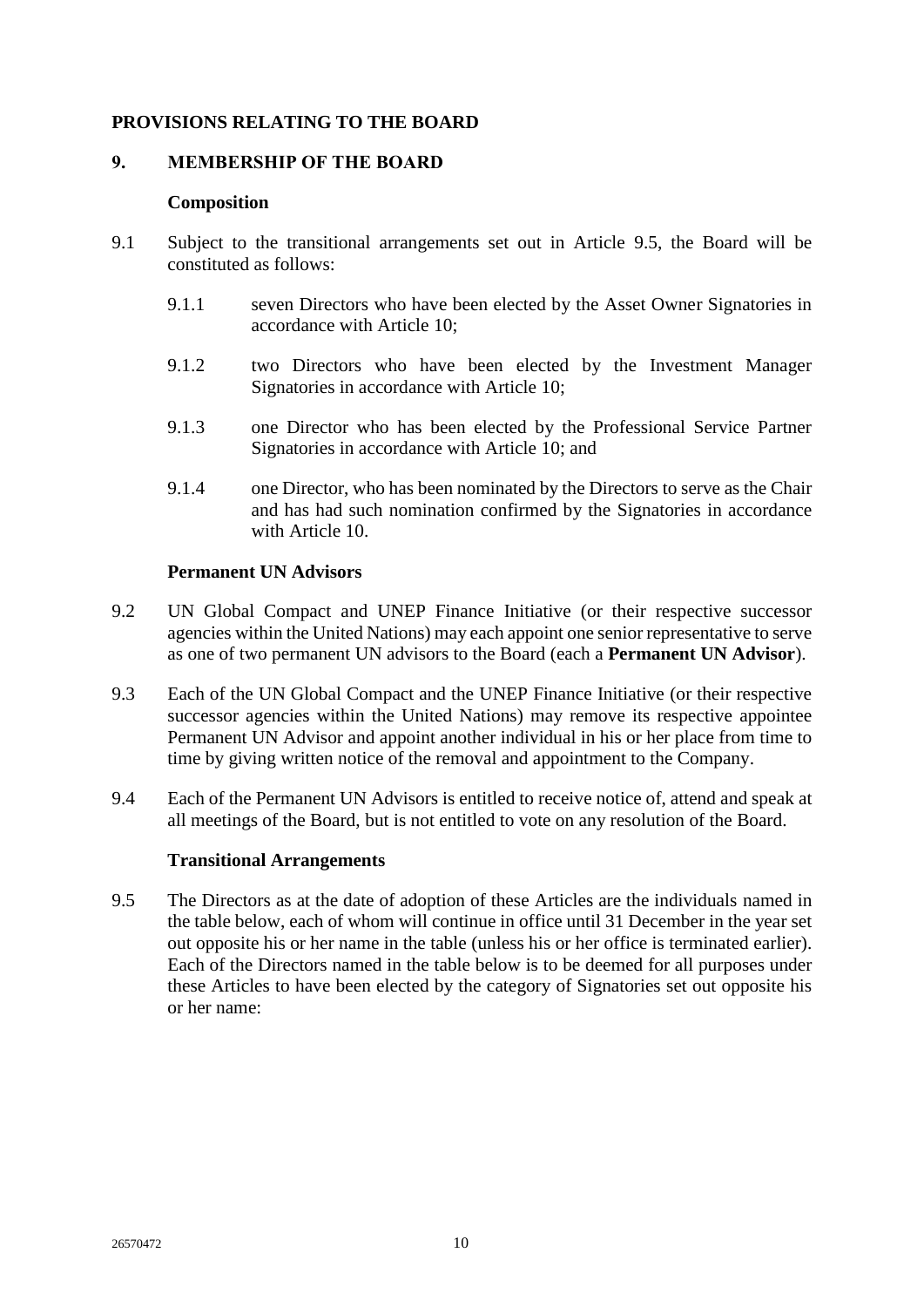# <span id="page-13-0"></span>**PROVISIONS RELATING TO THE BOARD**

#### <span id="page-13-2"></span><span id="page-13-1"></span>**9. MEMBERSHIP OF THE BOARD**

#### **Composition**

- <span id="page-13-8"></span>9.1 Subject to the transitional arrangements set out in Article [9.5,](#page-13-5) the Board will be constituted as follows:
	- 9.1.1 seven Directors who have been elected by the Asset Owner Signatories in accordance with Article [10;](#page-15-0)
	- 9.1.2 two Directors who have been elected by the Investment Manager Signatories in accordance with Article [10;](#page-15-0)
	- 9.1.3 one Director who has been elected by the Professional Service Partner Signatories in accordance with Article [10;](#page-15-0) and
	- 9.1.4 one Director, who has been nominated by the Directors to serve as the Chair and has had such nomination confirmed by the Signatories in accordance with Article [10.](#page-15-0)

#### <span id="page-13-9"></span><span id="page-13-6"></span>**Permanent UN Advisors**

- <span id="page-13-7"></span><span id="page-13-3"></span>9.2 UN Global Compact and UNEP Finance Initiative (or their respective successor agencies within the United Nations) may each appoint one senior representative to serve as one of two permanent UN advisors to the Board (each a **Permanent UN Advisor**).
- 9.3 Each of the UN Global Compact and the UNEP Finance Initiative (or their respective successor agencies within the United Nations) may remove its respective appointee Permanent UN Advisor and appoint another individual in his or her place from time to time by giving written notice of the removal and appointment to the Company.
- 9.4 Each of the Permanent UN Advisors is entitled to receive notice of, attend and speak at all meetings of the Board, but is not entitled to vote on any resolution of the Board.

## **Transitional Arrangements**

<span id="page-13-5"></span><span id="page-13-4"></span>9.5 The Directors as at the date of adoption of these Articles are the individuals named in the table below, each of whom will continue in office until 31 December in the year set out opposite his or her name in the table (unless his or her office is terminated earlier). Each of the Directors named in the table below is to be deemed for all purposes under these Articles to have been elected by the category of Signatories set out opposite his or her name: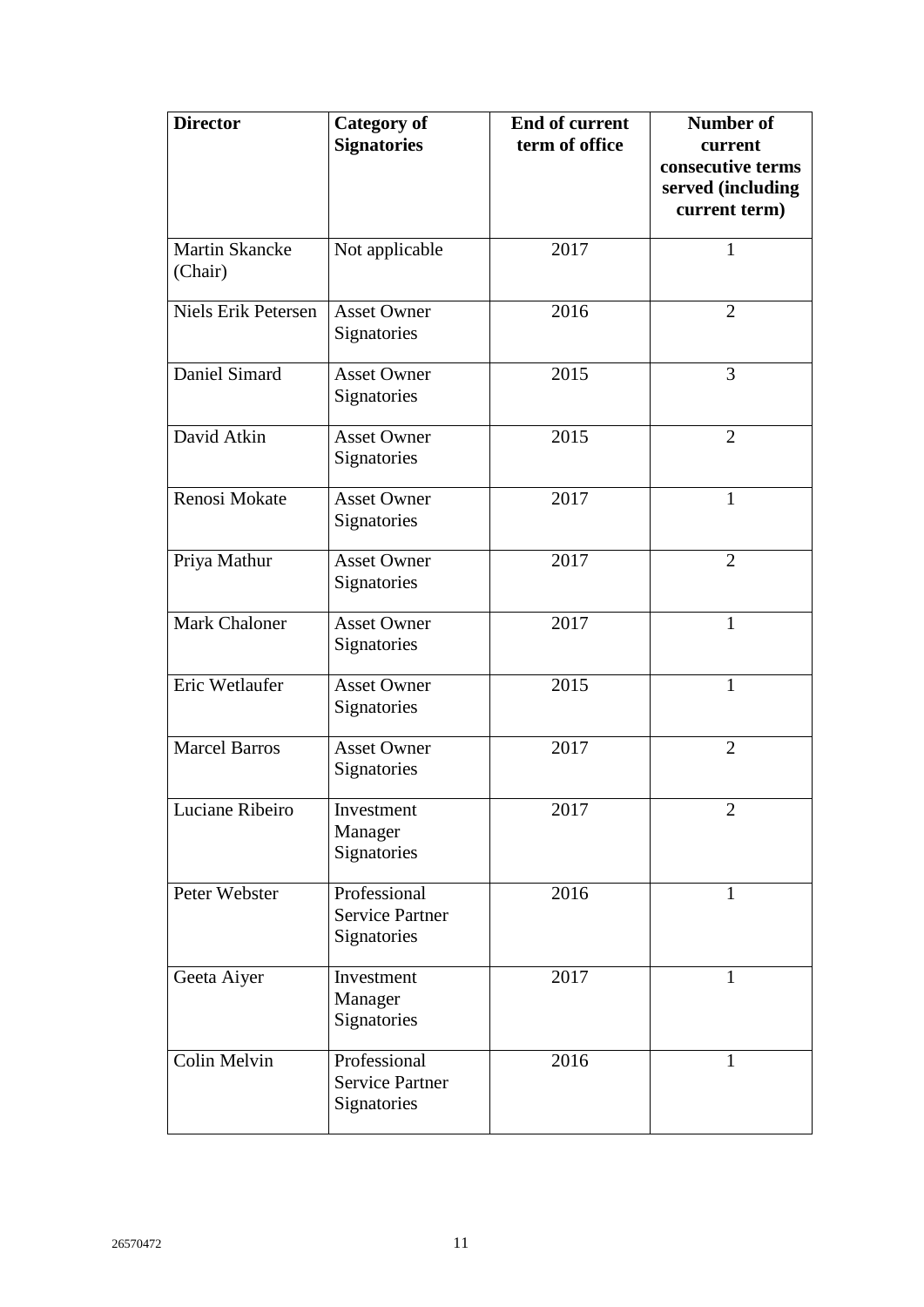| <b>Director</b>                  | <b>Category of</b><br><b>Signatories</b>              | <b>End of current</b><br>term of office | <b>Number of</b><br>current<br>consecutive terms<br>served (including<br>current term) |
|----------------------------------|-------------------------------------------------------|-----------------------------------------|----------------------------------------------------------------------------------------|
| <b>Martin Skancke</b><br>(Chair) | Not applicable                                        | 2017                                    | $\mathbf{1}$                                                                           |
| Niels Erik Petersen              | <b>Asset Owner</b><br>Signatories                     | 2016                                    | $\overline{2}$                                                                         |
| Daniel Simard                    | <b>Asset Owner</b><br>Signatories                     | 2015                                    | 3                                                                                      |
| David Atkin                      | <b>Asset Owner</b><br>Signatories                     | 2015                                    | $\overline{2}$                                                                         |
| Renosi Mokate                    | <b>Asset Owner</b><br>Signatories                     | 2017                                    | $\mathbf{1}$                                                                           |
| Priya Mathur                     | <b>Asset Owner</b><br>Signatories                     | 2017                                    | $\overline{2}$                                                                         |
| <b>Mark Chaloner</b>             | <b>Asset Owner</b><br>Signatories                     | 2017                                    | $\mathbf{1}$                                                                           |
| Eric Wetlaufer                   | <b>Asset Owner</b><br>Signatories                     | 2015                                    | $\mathbf{1}$                                                                           |
| Marcel Barros                    | <b>Asset Owner</b><br>Signatories                     | 2017                                    | $\overline{2}$                                                                         |
| Luciane Ribeiro                  | Investment<br>Manager<br>Signatories                  | 2017                                    | 2                                                                                      |
| Peter Webster                    | Professional<br><b>Service Partner</b><br>Signatories | 2016                                    | 1                                                                                      |
| Geeta Aiyer                      | Investment<br>Manager<br>Signatories                  | 2017                                    | $\mathbf{1}$                                                                           |
| Colin Melvin                     | Professional<br><b>Service Partner</b><br>Signatories | 2016                                    | $\mathbf{1}$                                                                           |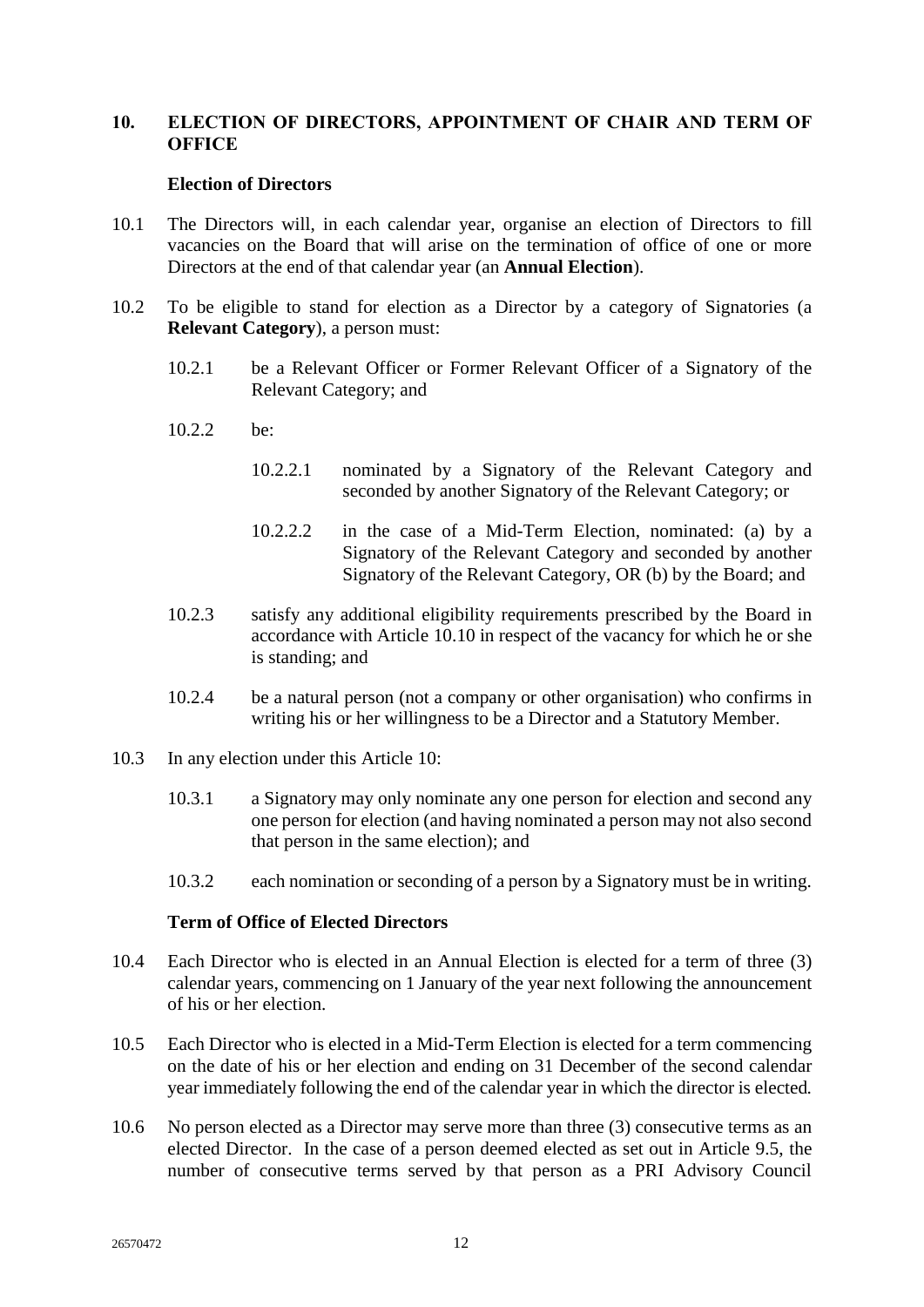## <span id="page-15-0"></span>**10. ELECTION OF DIRECTORS, APPOINTMENT OF CHAIR AND TERM OF OFFICE**

#### **Election of Directors**

- <span id="page-15-3"></span><span id="page-15-1"></span>10.1 The Directors will, in each calendar year, organise an election of Directors to fill vacancies on the Board that will arise on the termination of office of one or more Directors at the end of that calendar year (an **Annual Election**).
- <span id="page-15-4"></span>10.2 To be eligible to stand for election as a Director by a category of Signatories (a **Relevant Category**), a person must:
	- 10.2.1 be a Relevant Officer or Former Relevant Officer of a Signatory of the Relevant Category; and
	- 10.2.2 be:
		- 10.2.2.1 nominated by a Signatory of the Relevant Category and seconded by another Signatory of the Relevant Category; or
		- 10.2.2.2 in the case of a Mid-Term Election, nominated: (a) by a Signatory of the Relevant Category and seconded by another Signatory of the Relevant Category, OR (b) by the Board; and
	- 10.2.3 satisfy any additional eligibility requirements prescribed by the Board in accordance with Article [10.10](#page-16-4) in respect of the vacancy for which he or she is standing; and
	- 10.2.4 be a natural person (not a company or other organisation) who confirms in writing his or her willingness to be a Director and a Statutory Member.
- 10.3 In any election under this Article [10:](#page-15-0)
	- 10.3.1 a Signatory may only nominate any one person for election and second any one person for election (and having nominated a person may not also second that person in the same election); and
	- 10.3.2 each nomination or seconding of a person by a Signatory must be in writing.

## **Term of Office of Elected Directors**

- <span id="page-15-2"></span>10.4 Each Director who is elected in an Annual Election is elected for a term of three (3) calendar years, commencing on 1 January of the year next following the announcement of his or her election.
- 10.5 Each Director who is elected in a Mid-Term Election is elected for a term commencing on the date of his or her election and ending on 31 December of the second calendar year immediately following the end of the calendar year in which the director is elected*.*
- 10.6 No person elected as a Director may serve more than three (3) consecutive terms as an elected Director. In the case of a person deemed elected as set out in Article 9.5, the number of consecutive terms served by that person as a PRI Advisory Council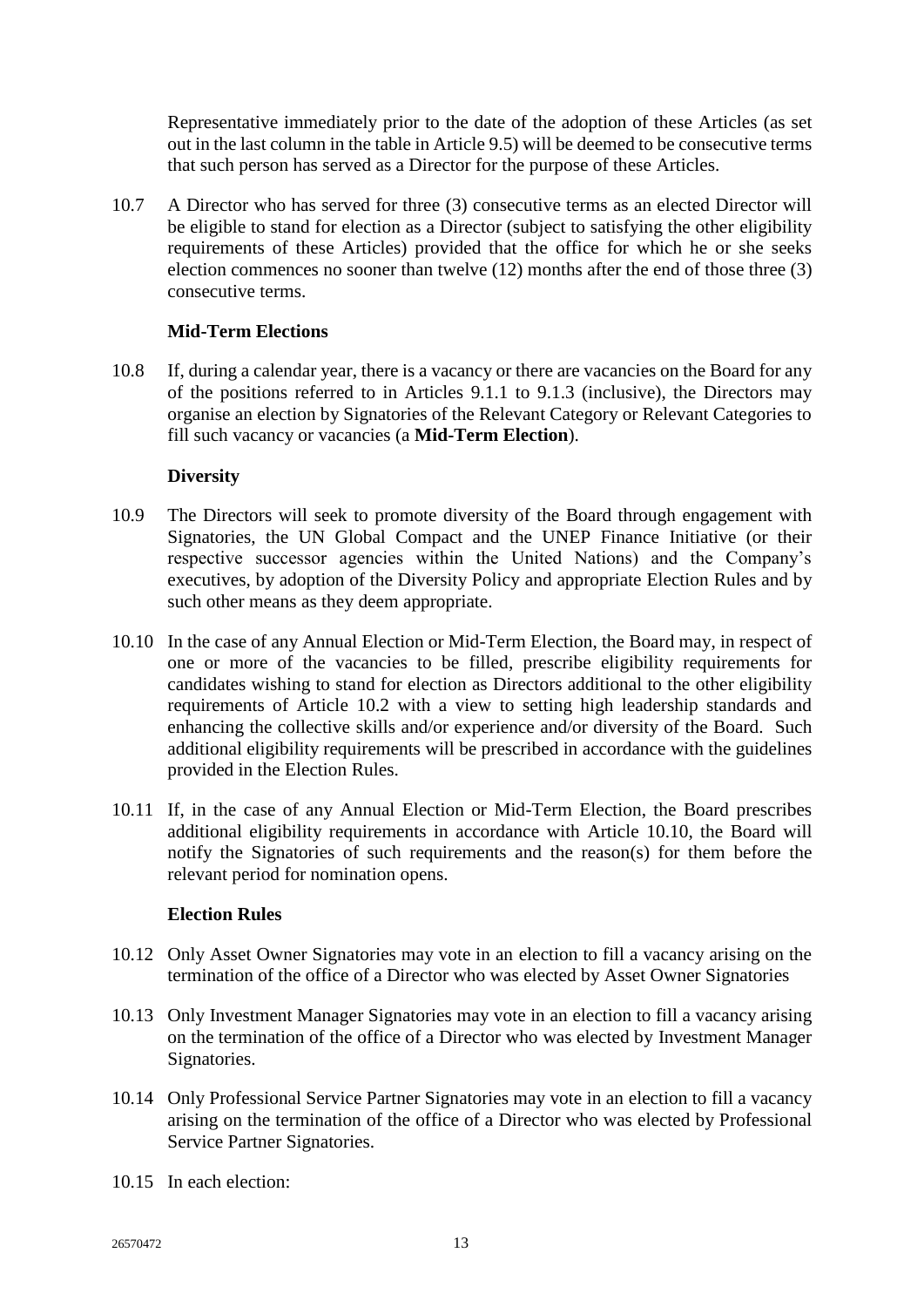Representative immediately prior to the date of the adoption of these Articles (as set out in the last column in the table in Article [9.5\)](#page-13-5) will be deemed to be consecutive terms that such person has served as a Director for the purpose of these Articles.

10.7 A Director who has served for three (3) consecutive terms as an elected Director will be eligible to stand for election as a Director (subject to satisfying the other eligibility requirements of these Articles) provided that the office for which he or she seeks election commences no sooner than twelve (12) months after the end of those three (3) consecutive terms.

## **Mid-Term Elections**

<span id="page-16-3"></span><span id="page-16-0"></span>10.8 If, during a calendar year, there is a vacancy or there are vacancies on the Board for any of the positions referred to in Articles [9.1.1](#page-13-8) to [9.1.3](#page-13-9) (inclusive), the Directors may organise an election by Signatories of the Relevant Category or Relevant Categories to fill such vacancy or vacancies (a **Mid-Term Election**).

# **Diversity**

- <span id="page-16-1"></span>10.9 The Directors will seek to promote diversity of the Board through engagement with Signatories, the UN Global Compact and the UNEP Finance Initiative (or their respective successor agencies within the United Nations) and the Company's executives, by adoption of the Diversity Policy and appropriate Election Rules and by such other means as they deem appropriate.
- <span id="page-16-4"></span>10.10 In the case of any Annual Election or Mid-Term Election, the Board may, in respect of one or more of the vacancies to be filled, prescribe eligibility requirements for candidates wishing to stand for election as Directors additional to the other eligibility requirements of Article [10.2](#page-15-4) with a view to setting high leadership standards and enhancing the collective skills and/or experience and/or diversity of the Board. Such additional eligibility requirements will be prescribed in accordance with the guidelines provided in the Election Rules.
- 10.11 If, in the case of any Annual Election or Mid-Term Election, the Board prescribes additional eligibility requirements in accordance with Article [10.10,](#page-16-4) the Board will notify the Signatories of such requirements and the reason(s) for them before the relevant period for nomination opens.

## **Election Rules**

- <span id="page-16-2"></span>10.12 Only Asset Owner Signatories may vote in an election to fill a vacancy arising on the termination of the office of a Director who was elected by Asset Owner Signatories
- 10.13 Only Investment Manager Signatories may vote in an election to fill a vacancy arising on the termination of the office of a Director who was elected by Investment Manager Signatories.
- 10.14 Only Professional Service Partner Signatories may vote in an election to fill a vacancy arising on the termination of the office of a Director who was elected by Professional Service Partner Signatories.
- 10.15 In each election: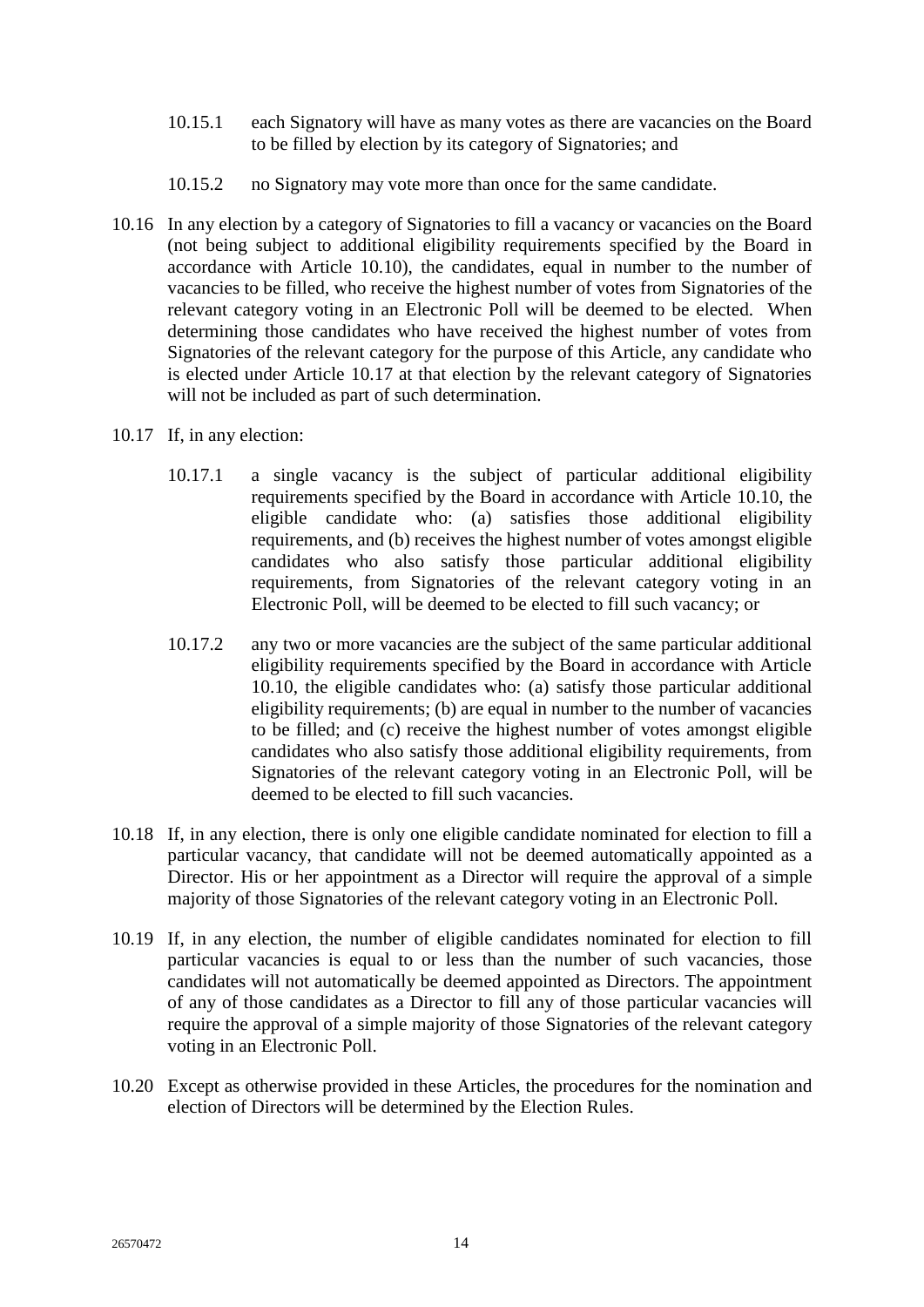- 10.15.1 each Signatory will have as many votes as there are vacancies on the Board to be filled by election by its category of Signatories; and
- 10.15.2 no Signatory may vote more than once for the same candidate.
- 10.16 In any election by a category of Signatories to fill a vacancy or vacancies on the Board (not being subject to additional eligibility requirements specified by the Board in accordance with Article [10.10\)](#page-16-4), the candidates, equal in number to the number of vacancies to be filled, who receive the highest number of votes from Signatories of the relevant category voting in an Electronic Poll will be deemed to be elected. When determining those candidates who have received the highest number of votes from Signatories of the relevant category for the purpose of this Article, any candidate who is elected under Article [10.17](#page-17-0) at that election by the relevant category of Signatories will not be included as part of such determination.
- <span id="page-17-0"></span>10.17 If, in any election:
	- 10.17.1 a single vacancy is the subject of particular additional eligibility requirements specified by the Board in accordance with Article [10.10,](#page-16-4) the eligible candidate who: (a) satisfies those additional eligibility requirements, and (b) receives the highest number of votes amongst eligible candidates who also satisfy those particular additional eligibility requirements, from Signatories of the relevant category voting in an Electronic Poll, will be deemed to be elected to fill such vacancy; or
	- 10.17.2 any two or more vacancies are the subject of the same particular additional eligibility requirements specified by the Board in accordance with Article [10.10,](#page-16-4) the eligible candidates who: (a) satisfy those particular additional eligibility requirements; (b) are equal in number to the number of vacancies to be filled; and (c) receive the highest number of votes amongst eligible candidates who also satisfy those additional eligibility requirements, from Signatories of the relevant category voting in an Electronic Poll, will be deemed to be elected to fill such vacancies.
- 10.18 If, in any election, there is only one eligible candidate nominated for election to fill a particular vacancy, that candidate will not be deemed automatically appointed as a Director. His or her appointment as a Director will require the approval of a simple majority of those Signatories of the relevant category voting in an Electronic Poll.
- 10.19 If, in any election, the number of eligible candidates nominated for election to fill particular vacancies is equal to or less than the number of such vacancies, those candidates will not automatically be deemed appointed as Directors. The appointment of any of those candidates as a Director to fill any of those particular vacancies will require the approval of a simple majority of those Signatories of the relevant category voting in an Electronic Poll.
- 10.20 Except as otherwise provided in these Articles, the procedures for the nomination and election of Directors will be determined by the Election Rules.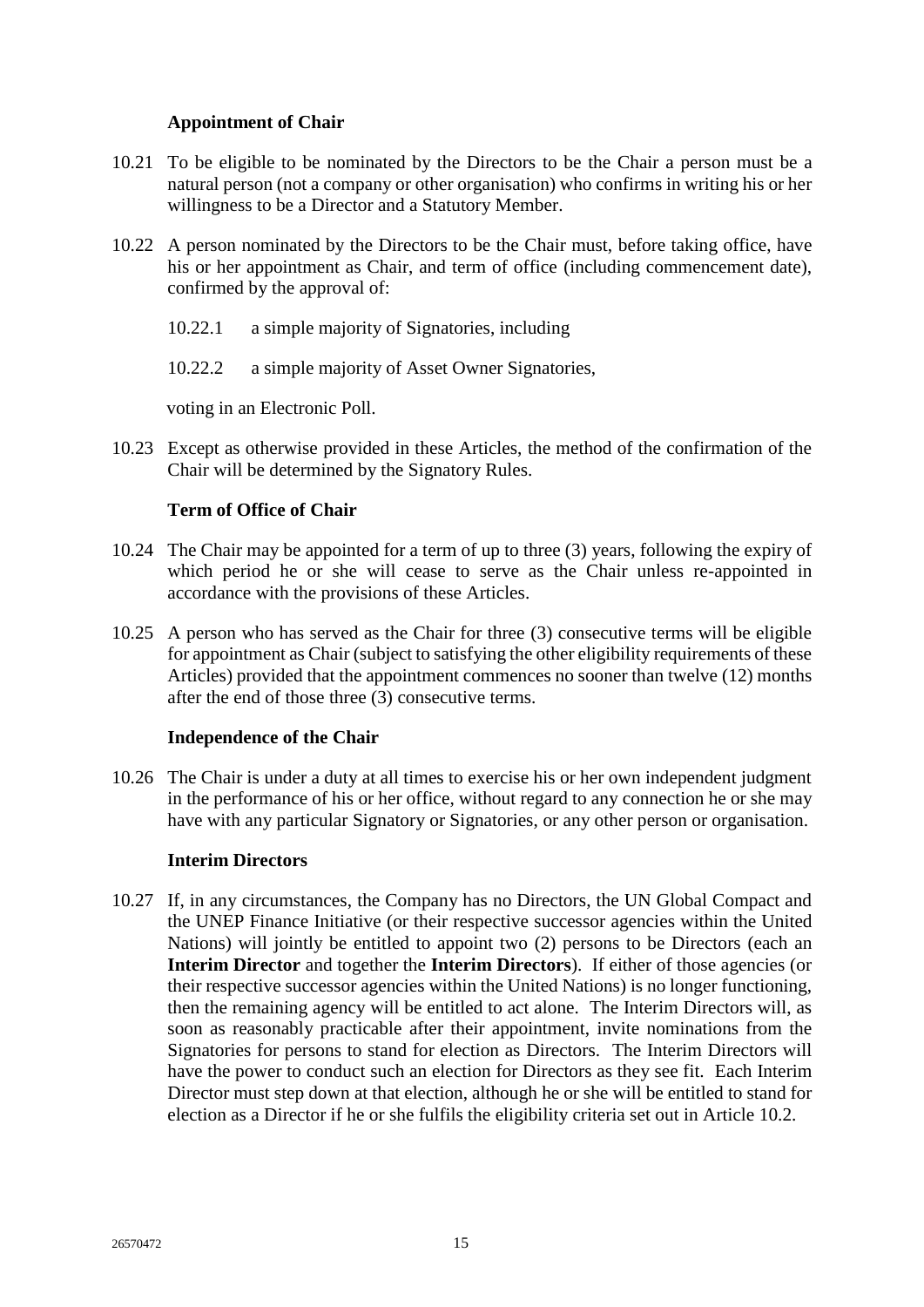# **Appointment of Chair**

- <span id="page-18-0"></span>10.21 To be eligible to be nominated by the Directors to be the Chair a person must be a natural person (not a company or other organisation) who confirms in writing his or her willingness to be a Director and a Statutory Member.
- 10.22 A person nominated by the Directors to be the Chair must, before taking office, have his or her appointment as Chair, and term of office (including commencement date), confirmed by the approval of:
	- 10.22.1 a simple majority of Signatories, including
	- 10.22.2 a simple majority of Asset Owner Signatories,

voting in an Electronic Poll.

10.23 Except as otherwise provided in these Articles, the method of the confirmation of the Chair will be determined by the Signatory Rules.

# **Term of Office of Chair**

- <span id="page-18-1"></span>10.24 The Chair may be appointed for a term of up to three (3) years, following the expiry of which period he or she will cease to serve as the Chair unless re-appointed in accordance with the provisions of these Articles.
- 10.25 A person who has served as the Chair for three (3) consecutive terms will be eligible for appointment as Chair (subject to satisfying the other eligibility requirements of these Articles) provided that the appointment commences no sooner than twelve (12) months after the end of those three (3) consecutive terms.

## **Independence of the Chair**

<span id="page-18-2"></span>10.26 The Chair is under a duty at all times to exercise his or her own independent judgment in the performance of his or her office, without regard to any connection he or she may have with any particular Signatory or Signatories, or any other person or organisation.

## **Interim Directors**

<span id="page-18-4"></span><span id="page-18-3"></span>10.27 If, in any circumstances, the Company has no Directors, the UN Global Compact and the UNEP Finance Initiative (or their respective successor agencies within the United Nations) will jointly be entitled to appoint two (2) persons to be Directors (each an **Interim Director** and together the **Interim Directors**). If either of those agencies (or their respective successor agencies within the United Nations) is no longer functioning, then the remaining agency will be entitled to act alone. The Interim Directors will, as soon as reasonably practicable after their appointment, invite nominations from the Signatories for persons to stand for election as Directors. The Interim Directors will have the power to conduct such an election for Directors as they see fit. Each Interim Director must step down at that election, although he or she will be entitled to stand for election as a Director if he or she fulfils the eligibility criteria set out in Article [10.2.](#page-15-4)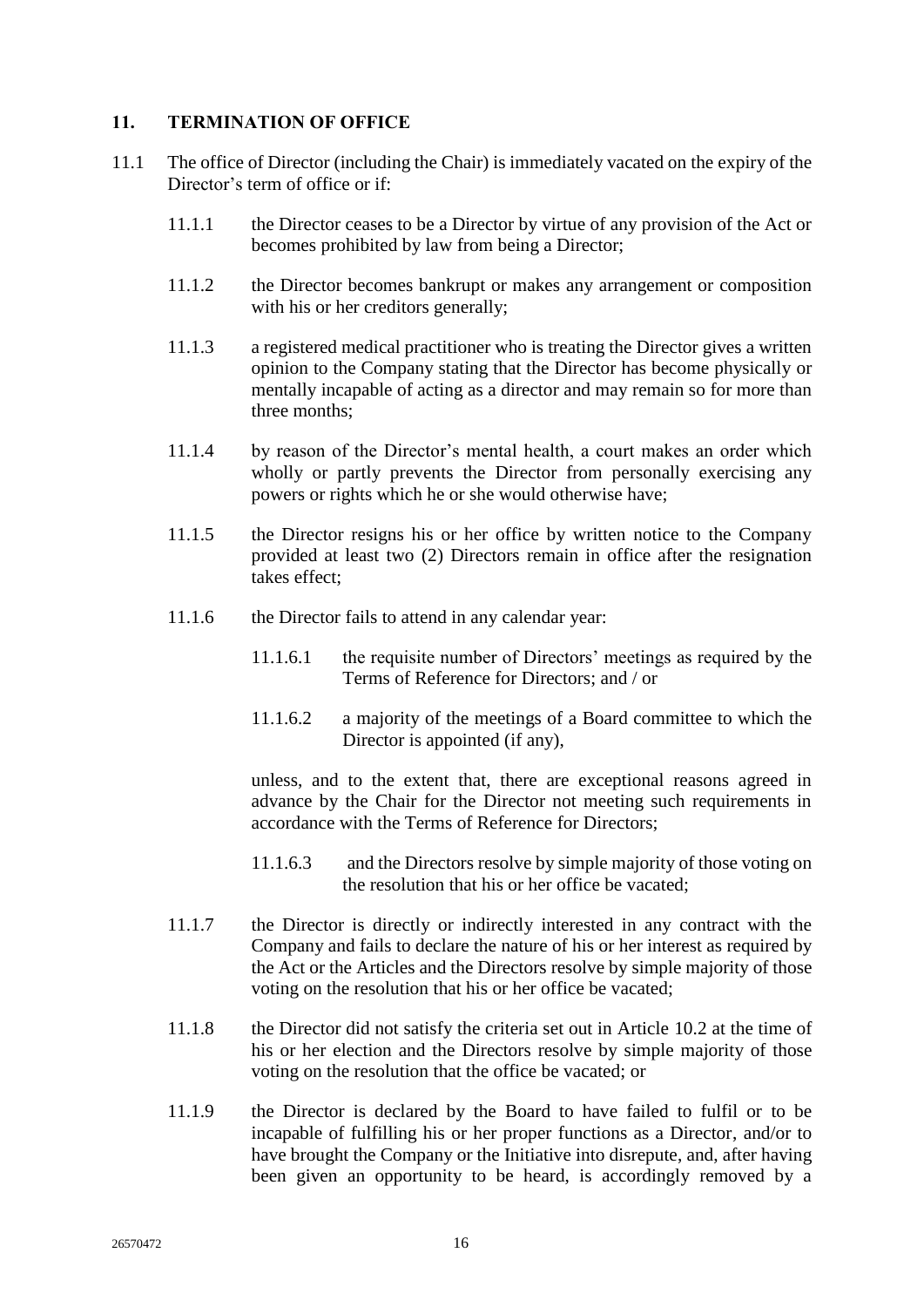# <span id="page-19-0"></span>**11. TERMINATION OF OFFICE**

- 11.1 The office of Director (including the Chair) is immediately vacated on the expiry of the Director's term of office or if
	- 11.1.1 the Director ceases to be a Director by virtue of any provision of the Act or becomes prohibited by law from being a Director;
	- 11.1.2 the Director becomes bankrupt or makes any arrangement or composition with his or her creditors generally;
	- 11.1.3 a registered medical practitioner who is treating the Director gives a written opinion to the Company stating that the Director has become physically or mentally incapable of acting as a director and may remain so for more than three months;
	- 11.1.4 by reason of the Director's mental health, a court makes an order which wholly or partly prevents the Director from personally exercising any powers or rights which he or she would otherwise have;
	- 11.1.5 the Director resigns his or her office by written notice to the Company provided at least two (2) Directors remain in office after the resignation takes effect;
	- 11.1.6 the Director fails to attend in any calendar year:
		- 11.1.6.1 the requisite number of Directors' meetings as required by the Terms of Reference for Directors; and / or
		- 11.1.6.2 a majority of the meetings of a Board committee to which the Director is appointed (if any),

unless, and to the extent that, there are exceptional reasons agreed in advance by the Chair for the Director not meeting such requirements in accordance with the Terms of Reference for Directors;

- 11.1.6.3 and the Directors resolve by simple majority of those voting on the resolution that his or her office be vacated;
- 11.1.7 the Director is directly or indirectly interested in any contract with the Company and fails to declare the nature of his or her interest as required by the Act or the Articles and the Directors resolve by simple majority of those voting on the resolution that his or her office be vacated;
- 11.1.8 the Director did not satisfy the criteria set out in Article [10.2](#page-15-4) at the time of his or her election and the Directors resolve by simple majority of those voting on the resolution that the office be vacated; or
- 11.1.9 the Director is declared by the Board to have failed to fulfil or to be incapable of fulfilling his or her proper functions as a Director, and/or to have brought the Company or the Initiative into disrepute, and, after having been given an opportunity to be heard, is accordingly removed by a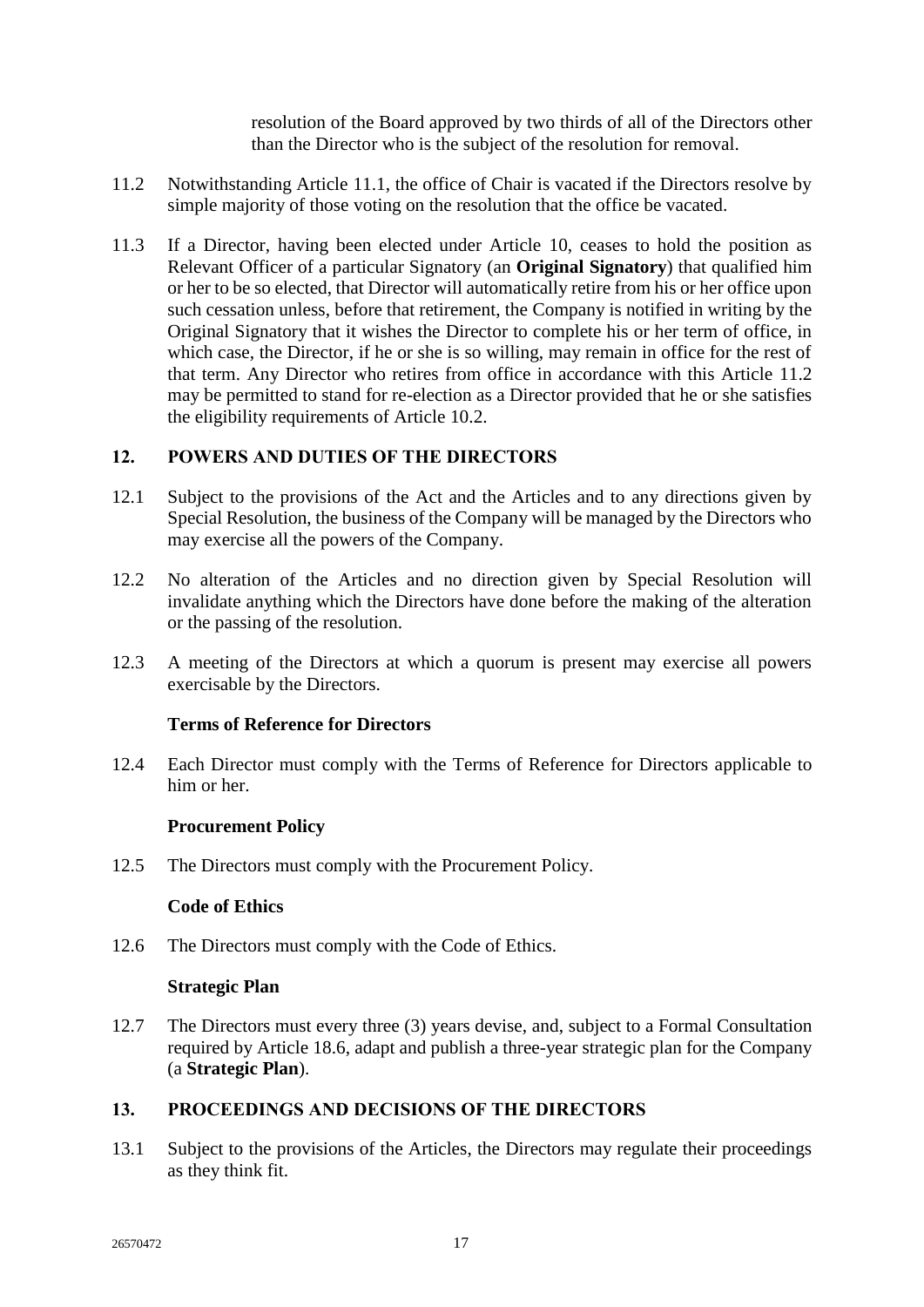resolution of the Board approved by two thirds of all of the Directors other than the Director who is the subject of the resolution for removal.

- <span id="page-20-6"></span>11.2 Notwithstanding Article 11.1, the office of Chair is vacated if the Directors resolve by simple majority of those voting on the resolution that the office be vacated.
- 11.3 If a Director, having been elected under Article [10,](#page-15-0) ceases to hold the position as Relevant Officer of a particular Signatory (an **Original Signatory**) that qualified him or her to be so elected, that Director will automatically retire from his or her office upon such cessation unless, before that retirement, the Company is notified in writing by the Original Signatory that it wishes the Director to complete his or her term of office, in which case, the Director, if he or she is so willing, may remain in office for the rest of that term. Any Director who retires from office in accordance with this Article [11.2](#page-20-6) may be permitted to stand for re-election as a Director provided that he or she satisfies the eligibility requirements of Article [10.2.](#page-15-4)

# <span id="page-20-0"></span>**12. POWERS AND DUTIES OF THE DIRECTORS**

- 12.1 Subject to the provisions of the Act and the Articles and to any directions given by Special Resolution, the business of the Company will be managed by the Directors who may exercise all the powers of the Company.
- 12.2 No alteration of the Articles and no direction given by Special Resolution will invalidate anything which the Directors have done before the making of the alteration or the passing of the resolution.
- 12.3 A meeting of the Directors at which a quorum is present may exercise all powers exercisable by the Directors.

## **Terms of Reference for Directors**

<span id="page-20-1"></span>12.4 Each Director must comply with the Terms of Reference for Directors applicable to him or her

## **Procurement Policy**

<span id="page-20-3"></span><span id="page-20-2"></span>12.5 The Directors must comply with the Procurement Policy.

## **Code of Ethics**

<span id="page-20-4"></span>12.6 The Directors must comply with the Code of Ethics.

#### **Strategic Plan**

<span id="page-20-7"></span>12.7 The Directors must every three (3) years devise, and, subject to a Formal Consultation required by Article [18.6,](#page-27-3) adapt and publish a three-year strategic plan for the Company (a **Strategic Plan**).

## <span id="page-20-5"></span>**13. PROCEEDINGS AND DECISIONS OF THE DIRECTORS**

13.1 Subject to the provisions of the Articles, the Directors may regulate their proceedings as they think fit.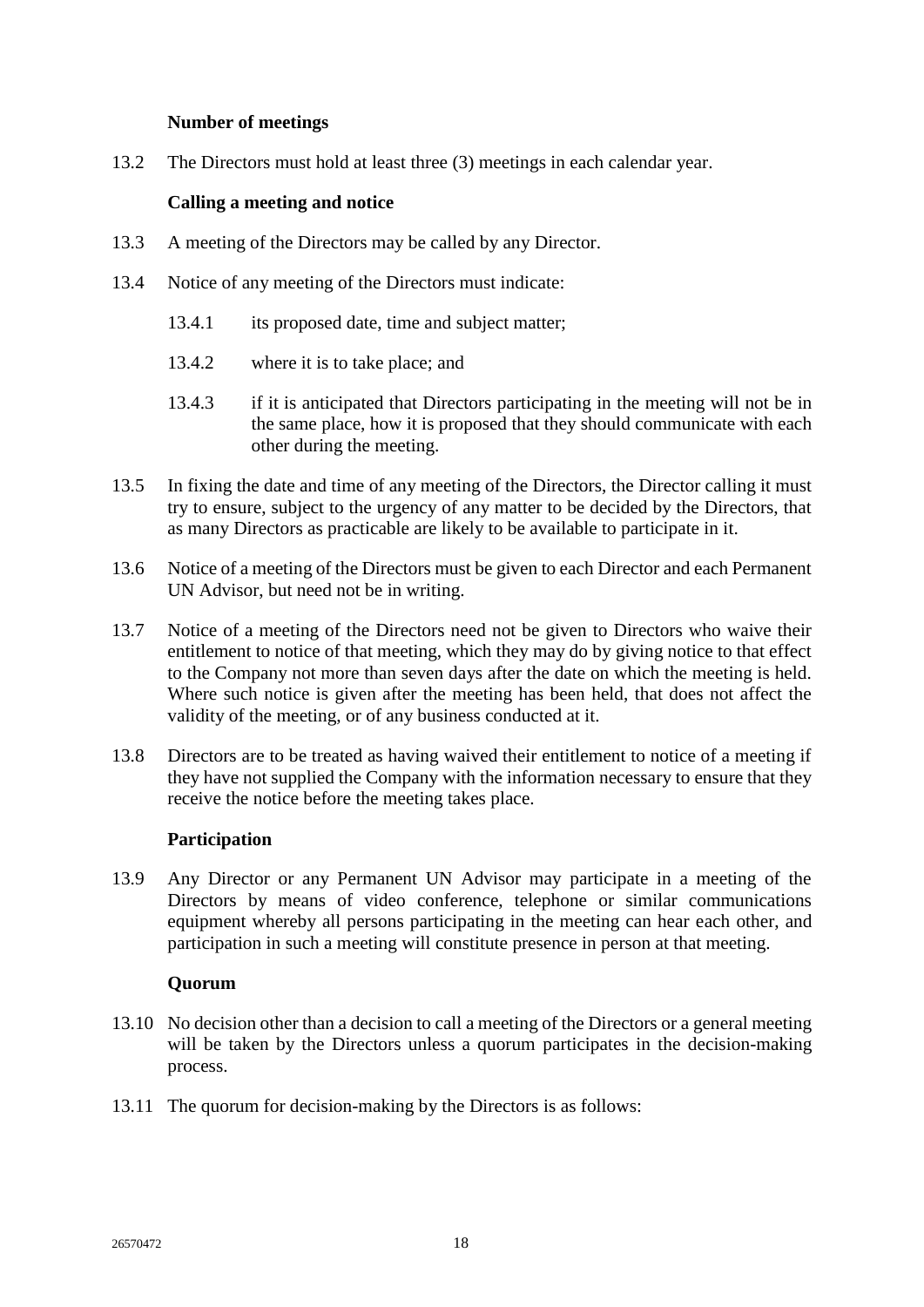# **Number of meetings**

<span id="page-21-1"></span><span id="page-21-0"></span>13.2 The Directors must hold at least three (3) meetings in each calendar year.

# **Calling a meeting and notice**

- 13.3 A meeting of the Directors may be called by any Director.
- 13.4 Notice of any meeting of the Directors must indicate:
	- 13.4.1 its proposed date, time and subject matter;
	- 13.4.2 where it is to take place; and
	- 13.4.3 if it is anticipated that Directors participating in the meeting will not be in the same place, how it is proposed that they should communicate with each other during the meeting.
- 13.5 In fixing the date and time of any meeting of the Directors, the Director calling it must try to ensure, subject to the urgency of any matter to be decided by the Directors, that as many Directors as practicable are likely to be available to participate in it.
- 13.6 Notice of a meeting of the Directors must be given to each Director and each Permanent UN Advisor, but need not be in writing.
- 13.7 Notice of a meeting of the Directors need not be given to Directors who waive their entitlement to notice of that meeting, which they may do by giving notice to that effect to the Company not more than seven days after the date on which the meeting is held. Where such notice is given after the meeting has been held, that does not affect the validity of the meeting, or of any business conducted at it.
- 13.8 Directors are to be treated as having waived their entitlement to notice of a meeting if they have not supplied the Company with the information necessary to ensure that they receive the notice before the meeting takes place.

# **Participation**

<span id="page-21-2"></span>13.9 Any Director or any Permanent UN Advisor may participate in a meeting of the Directors by means of video conference, telephone or similar communications equipment whereby all persons participating in the meeting can hear each other, and participation in such a meeting will constitute presence in person at that meeting.

## **Quorum**

- <span id="page-21-3"></span>13.10 No decision other than a decision to call a meeting of the Directors or a general meeting will be taken by the Directors unless a quorum participates in the decision-making process.
- <span id="page-21-4"></span>13.11 The quorum for decision-making by the Directors is as follows: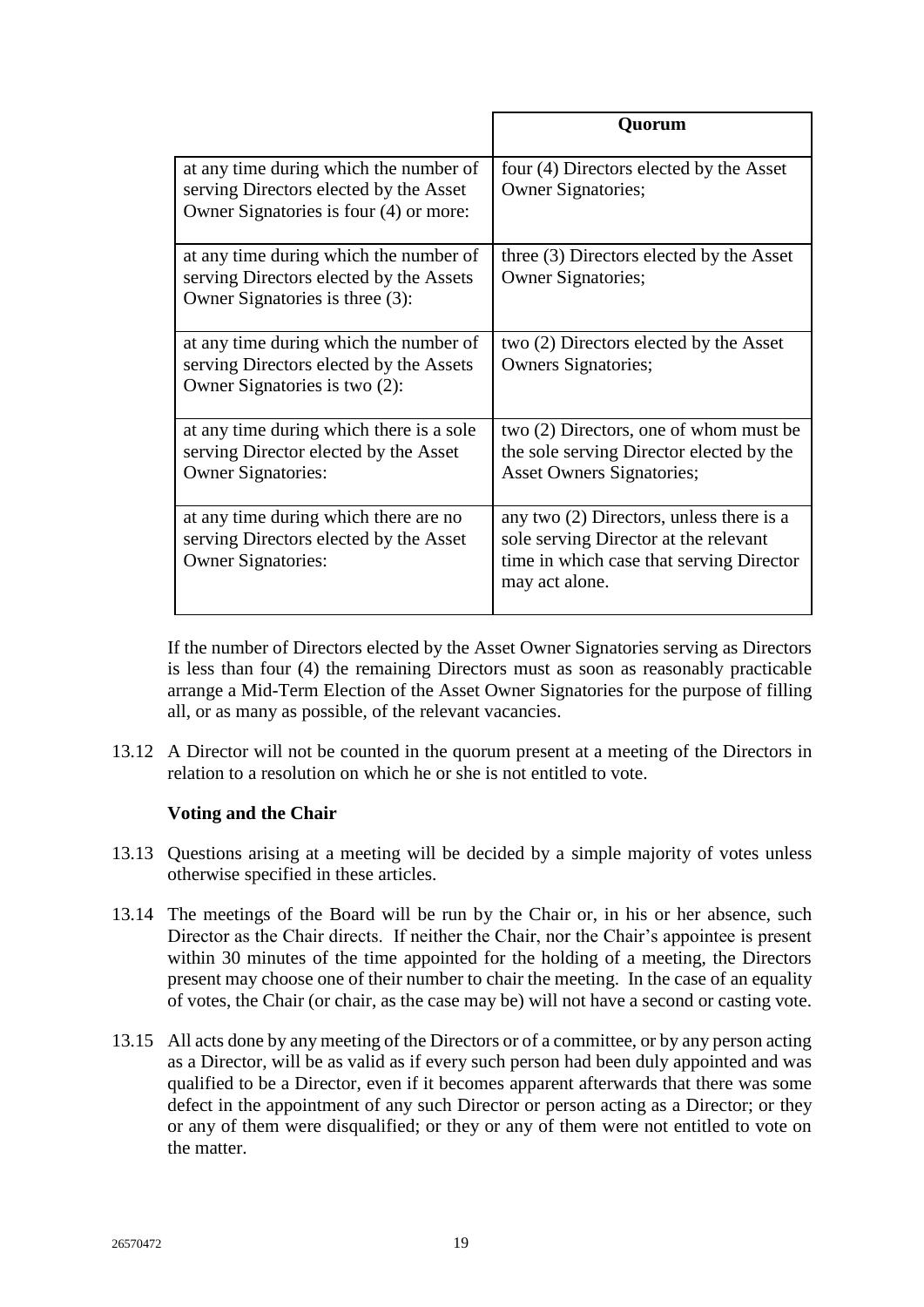|                                                                                                                            | Ouorum                                                                                                                                            |
|----------------------------------------------------------------------------------------------------------------------------|---------------------------------------------------------------------------------------------------------------------------------------------------|
| at any time during which the number of<br>serving Directors elected by the Asset<br>Owner Signatories is four (4) or more: | four (4) Directors elected by the Asset<br><b>Owner Signatories;</b>                                                                              |
| at any time during which the number of<br>serving Directors elected by the Assets<br>Owner Signatories is three (3):       | three (3) Directors elected by the Asset<br><b>Owner Signatories;</b>                                                                             |
| at any time during which the number of<br>serving Directors elected by the Assets<br>Owner Signatories is two (2):         | two (2) Directors elected by the Asset<br><b>Owners Signatories;</b>                                                                              |
| at any time during which there is a sole<br>serving Director elected by the Asset<br><b>Owner Signatories:</b>             | two (2) Directors, one of whom must be<br>the sole serving Director elected by the<br><b>Asset Owners Signatories;</b>                            |
| at any time during which there are no<br>serving Directors elected by the Asset<br><b>Owner Signatories:</b>               | any two $(2)$ Directors, unless there is a<br>sole serving Director at the relevant<br>time in which case that serving Director<br>may act alone. |

If the number of Directors elected by the Asset Owner Signatories serving as Directors is less than four (4) the remaining Directors must as soon as reasonably practicable arrange a Mid-Term Election of the Asset Owner Signatories for the purpose of filling all, or as many as possible, of the relevant vacancies.

13.12 A Director will not be counted in the quorum present at a meeting of the Directors in relation to a resolution on which he or she is not entitled to vote.

# **Voting and the Chair**

- <span id="page-22-0"></span>13.13 Questions arising at a meeting will be decided by a simple majority of votes unless otherwise specified in these articles.
- 13.14 The meetings of the Board will be run by the Chair or, in his or her absence, such Director as the Chair directs. If neither the Chair, nor the Chair's appointee is present within 30 minutes of the time appointed for the holding of a meeting, the Directors present may choose one of their number to chair the meeting. In the case of an equality of votes, the Chair (or chair, as the case may be) will not have a second or casting vote.
- 13.15 All acts done by any meeting of the Directors or of a committee, or by any person acting as a Director, will be as valid as if every such person had been duly appointed and was qualified to be a Director, even if it becomes apparent afterwards that there was some defect in the appointment of any such Director or person acting as a Director; or they or any of them were disqualified; or they or any of them were not entitled to vote on the matter.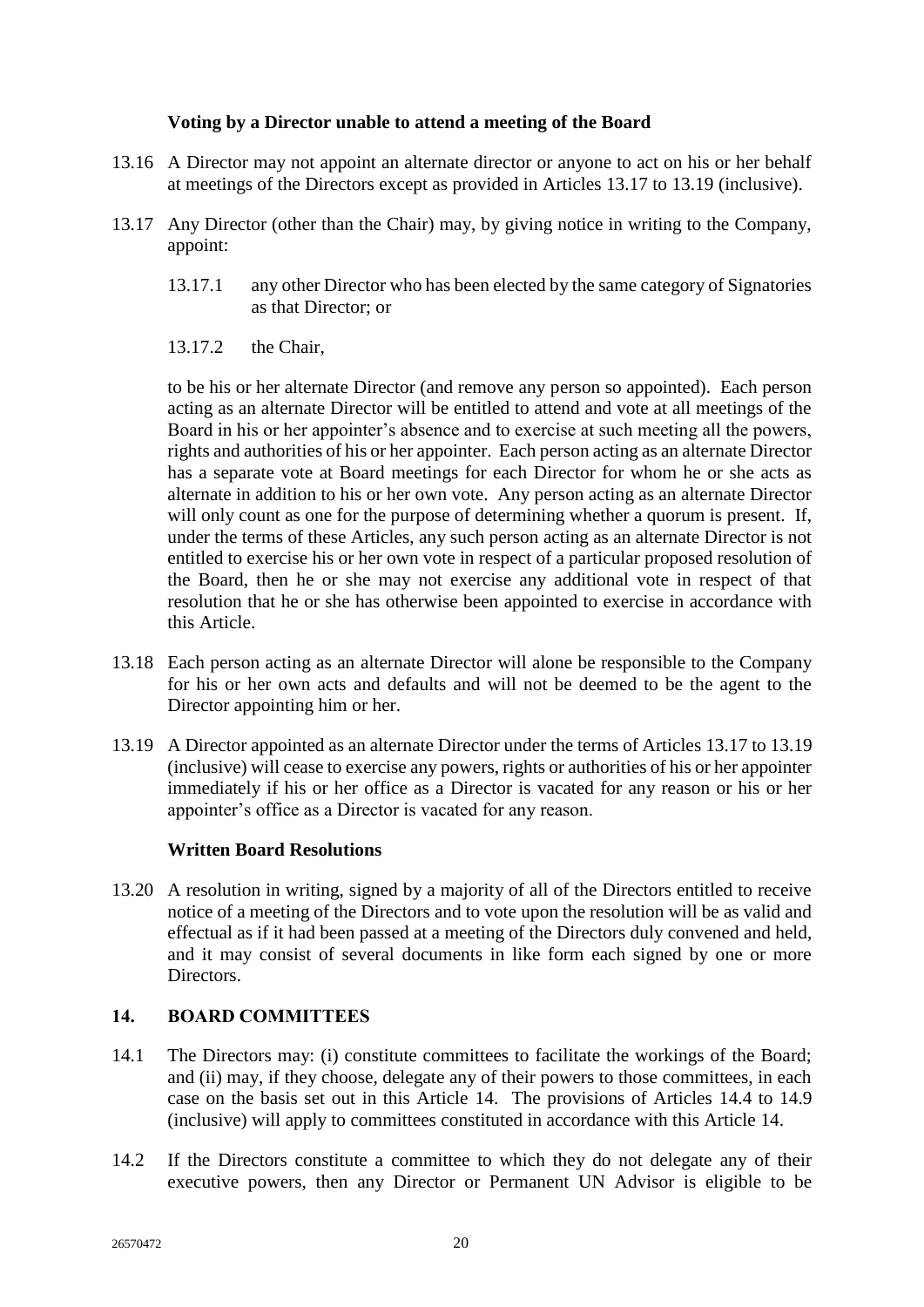# **Voting by a Director unable to attend a meeting of the Board**

- <span id="page-23-0"></span>13.16 A Director may not appoint an alternate director or anyone to act on his or her behalf at meetings of the Directors except as provided in Articles [13.17](#page-23-3) to [13.19](#page-23-4) (inclusive).
- <span id="page-23-3"></span>13.17 Any Director (other than the Chair) may, by giving notice in writing to the Company, appoint:
	- 13.17.1 any other Director who has been elected by the same category of Signatories as that Director; or
	- 13.17.2 the Chair,

to be his or her alternate Director (and remove any person so appointed). Each person acting as an alternate Director will be entitled to attend and vote at all meetings of the Board in his or her appointer's absence and to exercise at such meeting all the powers, rights and authorities of his or her appointer. Each person acting as an alternate Director has a separate vote at Board meetings for each Director for whom he or she acts as alternate in addition to his or her own vote. Any person acting as an alternate Director will only count as one for the purpose of determining whether a quorum is present. If, under the terms of these Articles, any such person acting as an alternate Director is not entitled to exercise his or her own vote in respect of a particular proposed resolution of the Board, then he or she may not exercise any additional vote in respect of that resolution that he or she has otherwise been appointed to exercise in accordance with this Article.

- 13.18 Each person acting as an alternate Director will alone be responsible to the Company for his or her own acts and defaults and will not be deemed to be the agent to the Director appointing him or her.
- <span id="page-23-4"></span>13.19 A Director appointed as an alternate Director under the terms of Article[s 13.17](#page-23-3) to [13.19](#page-23-4) (inclusive) will cease to exercise any powers, rights or authorities of his or her appointer immediately if his or her office as a Director is vacated for any reason or his or her appointer's office as a Director is vacated for any reason.

## **Written Board Resolutions**

<span id="page-23-1"></span>13.20 A resolution in writing, signed by a majority of all of the Directors entitled to receive notice of a meeting of the Directors and to vote upon the resolution will be as valid and effectual as if it had been passed at a meeting of the Directors duly convened and held, and it may consist of several documents in like form each signed by one or more Directors.

# <span id="page-23-2"></span>**14. BOARD COMMITTEES**

- 14.1 The Directors may: (i) constitute committees to facilitate the workings of the Board; and (ii) may, if they choose, delegate any of their powers to those committees, in each case on the basis set out in this Article [14.](#page-23-2) The provisions of Articles [14.4](#page-24-1) to [14.9](#page-24-2) (inclusive) will apply to committees constituted in accordance with this Article [14.](#page-23-2)
- <span id="page-23-5"></span>14.2 If the Directors constitute a committee to which they do not delegate any of their executive powers, then any Director or Permanent UN Advisor is eligible to be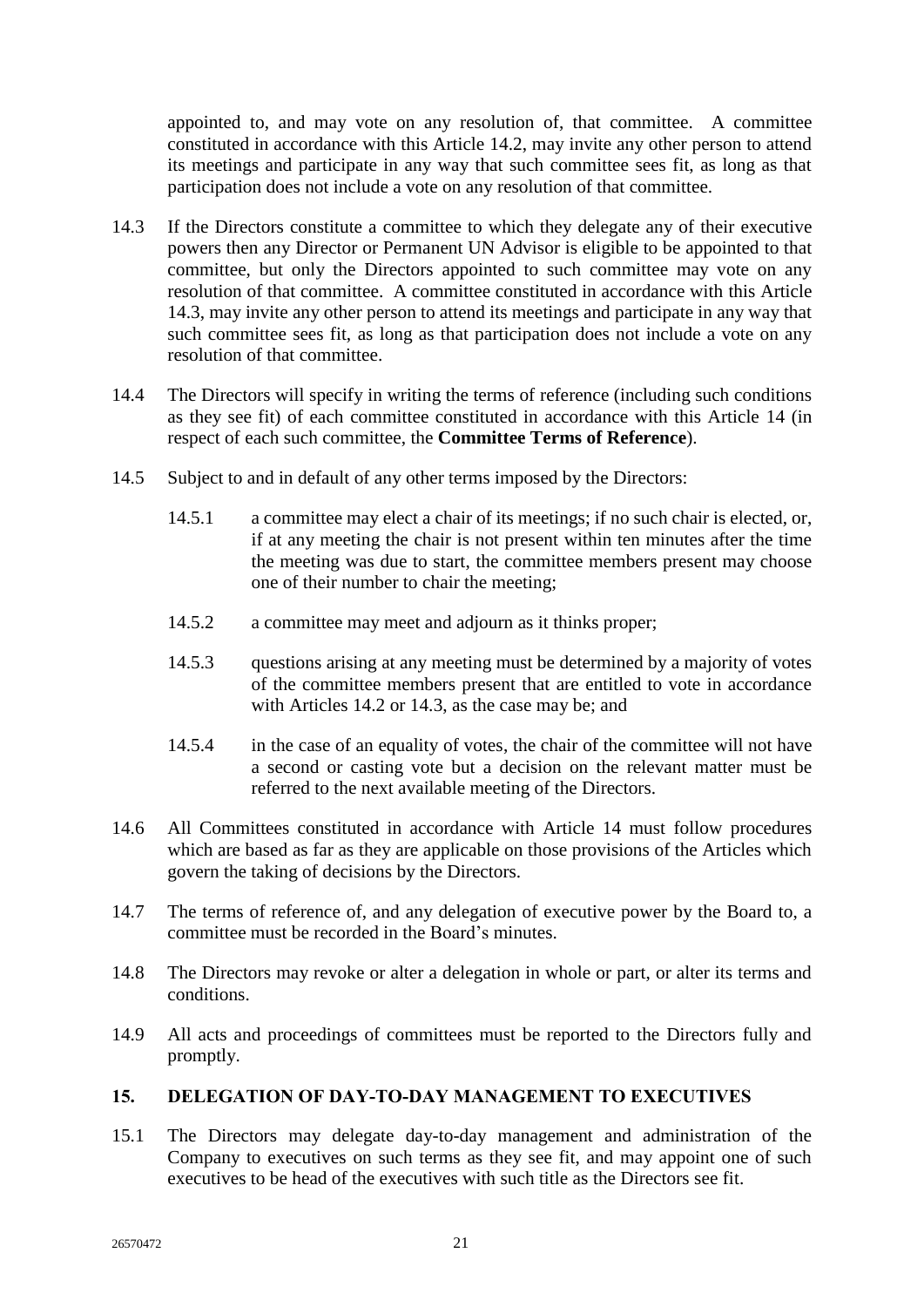appointed to, and may vote on any resolution of, that committee. A committee constituted in accordance with this Article [14.2,](#page-23-5) may invite any other person to attend its meetings and participate in any way that such committee sees fit, as long as that participation does not include a vote on any resolution of that committee.

- <span id="page-24-3"></span>14.3 If the Directors constitute a committee to which they delegate any of their executive powers then any Director or Permanent UN Advisor is eligible to be appointed to that committee, but only the Directors appointed to such committee may vote on any resolution of that committee. A committee constituted in accordance with this Article [14.3,](#page-24-3) may invite any other person to attend its meetings and participate in any way that such committee sees fit, as long as that participation does not include a vote on any resolution of that committee.
- <span id="page-24-1"></span>14.4 The Directors will specify in writing the terms of reference (including such conditions as they see fit) of each committee constituted in accordance with this Article [14](#page-23-2) (in respect of each such committee, the **Committee Terms of Reference**).
- 14.5 Subject to and in default of any other terms imposed by the Directors:
	- 14.5.1 a committee may elect a chair of its meetings; if no such chair is elected, or, if at any meeting the chair is not present within ten minutes after the time the meeting was due to start, the committee members present may choose one of their number to chair the meeting;
	- 14.5.2 a committee may meet and adjourn as it thinks proper;
	- 14.5.3 questions arising at any meeting must be determined by a majority of votes of the committee members present that are entitled to vote in accordance with Articles [14.2](#page-23-5) or [14.3,](#page-24-3) as the case may be; and
	- 14.5.4 in the case of an equality of votes, the chair of the committee will not have a second or casting vote but a decision on the relevant matter must be referred to the next available meeting of the Directors.
- 14.6 All Committees constituted in accordance with Article [14](#page-23-2) must follow procedures which are based as far as they are applicable on those provisions of the Articles which govern the taking of decisions by the Directors.
- 14.7 The terms of reference of, and any delegation of executive power by the Board to, a committee must be recorded in the Board's minutes.
- 14.8 The Directors may revoke or alter a delegation in whole or part, or alter its terms and conditions.
- <span id="page-24-2"></span>14.9 All acts and proceedings of committees must be reported to the Directors fully and promptly.

# <span id="page-24-0"></span>**15. DELEGATION OF DAY-TO-DAY MANAGEMENT TO EXECUTIVES**

15.1 The Directors may delegate day-to-day management and administration of the Company to executives on such terms as they see fit, and may appoint one of such executives to be head of the executives with such title as the Directors see fit.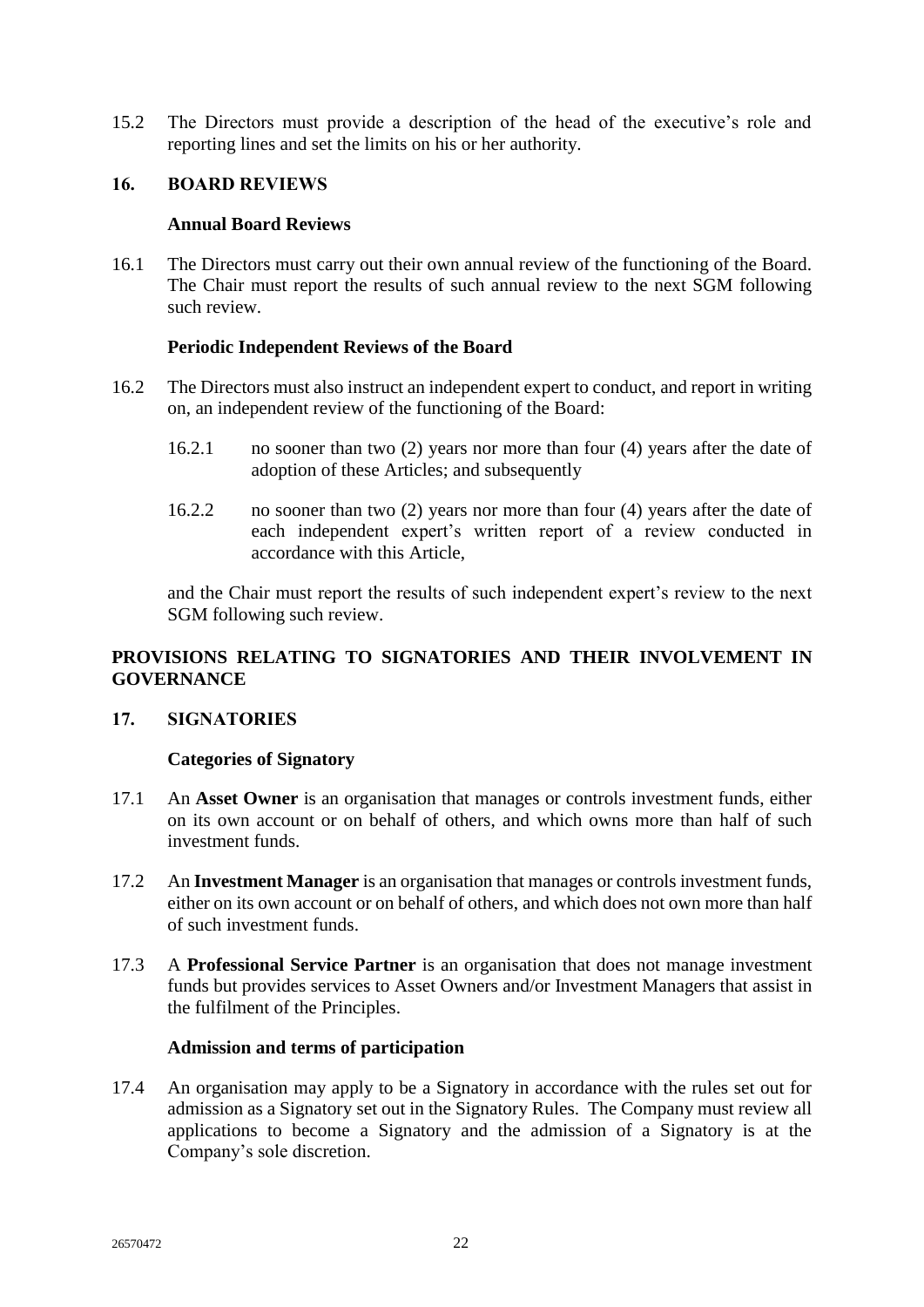15.2 The Directors must provide a description of the head of the executive's role and reporting lines and set the limits on his or her authority.

## <span id="page-25-1"></span><span id="page-25-0"></span>**16. BOARD REVIEWS**

## **Annual Board Reviews**

16.1 The Directors must carry out their own annual review of the functioning of the Board. The Chair must report the results of such annual review to the next SGM following such review.

## **Periodic Independent Reviews of the Board**

- <span id="page-25-2"></span>16.2 The Directors must also instruct an independent expert to conduct, and report in writing on, an independent review of the functioning of the Board:
	- 16.2.1 no sooner than two (2) years nor more than four (4) years after the date of adoption of these Articles; and subsequently
	- 16.2.2 no sooner than two (2) years nor more than four (4) years after the date of each independent expert's written report of a review conducted in accordance with this Article,

and the Chair must report the results of such independent expert's review to the next SGM following such review.

# <span id="page-25-3"></span>**PROVISIONS RELATING TO SIGNATORIES AND THEIR INVOLVEMENT IN GOVERNANCE**

## <span id="page-25-5"></span><span id="page-25-4"></span>**17. SIGNATORIES**

## **Categories of Signatory**

- <span id="page-25-7"></span>17.1 An **Asset Owner** is an organisation that manages or controls investment funds, either on its own account or on behalf of others, and which owns more than half of such investment funds.
- <span id="page-25-8"></span>17.2 An **Investment Manager** is an organisation that manages or controls investment funds, either on its own account or on behalf of others, and which does not own more than half of such investment funds.
- <span id="page-25-9"></span>17.3 A **Professional Service Partner** is an organisation that does not manage investment funds but provides services to Asset Owners and/or Investment Managers that assist in the fulfilment of the Principles.

## **Admission and terms of participation**

<span id="page-25-6"></span>17.4 An organisation may apply to be a Signatory in accordance with the rules set out for admission as a Signatory set out in the Signatory Rules. The Company must review all applications to become a Signatory and the admission of a Signatory is at the Company's sole discretion.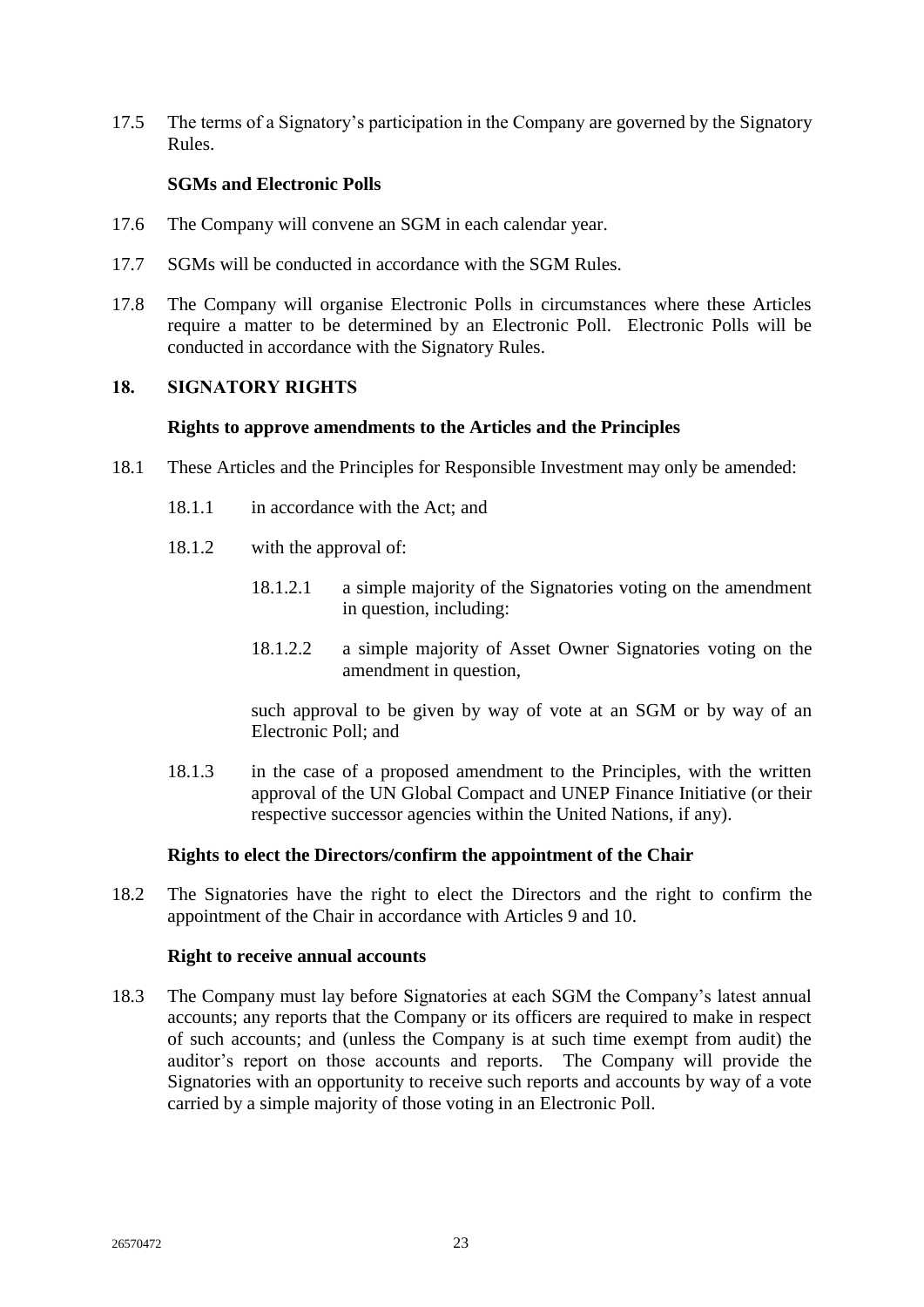17.5 The terms of a Signatory's participation in the Company are governed by the Signatory Rules.

# **SGMs and Electronic Polls**

- <span id="page-26-0"></span>17.6 The Company will convene an SGM in each calendar year.
- 17.7 SGMs will be conducted in accordance with the SGM Rules.
- 17.8 The Company will organise Electronic Polls in circumstances where these Articles require a matter to be determined by an Electronic Poll. Electronic Polls will be conducted in accordance with the Signatory Rules.

## <span id="page-26-2"></span><span id="page-26-1"></span>**18. SIGNATORY RIGHTS**

#### **Rights to approve amendments to the Articles and the Principles**

- 18.1 These Articles and the Principles for Responsible Investment may only be amended:
	- 18.1.1 in accordance with the Act; and
	- 18.1.2 with the approval of:
		- 18.1.2.1 a simple majority of the Signatories voting on the amendment in question, including:
		- 18.1.2.2 a simple majority of Asset Owner Signatories voting on the amendment in question,

such approval to be given by way of vote at an SGM or by way of an Electronic Poll; and

18.1.3 in the case of a proposed amendment to the Principles, with the written approval of the UN Global Compact and UNEP Finance Initiative (or their respective successor agencies within the United Nations, if any).

## **Rights to elect the Directors/confirm the appointment of the Chair**

<span id="page-26-3"></span>18.2 The Signatories have the right to elect the Directors and the right to confirm the appointment of the Chair in accordance with Articles [9](#page-13-1) and [10.](#page-15-0)

#### **Right to receive annual accounts**

<span id="page-26-4"></span>18.3 The Company must lay before Signatories at each SGM the Company's latest annual accounts; any reports that the Company or its officers are required to make in respect of such accounts; and (unless the Company is at such time exempt from audit) the auditor's report on those accounts and reports. The Company will provide the Signatories with an opportunity to receive such reports and accounts by way of a vote carried by a simple majority of those voting in an Electronic Poll.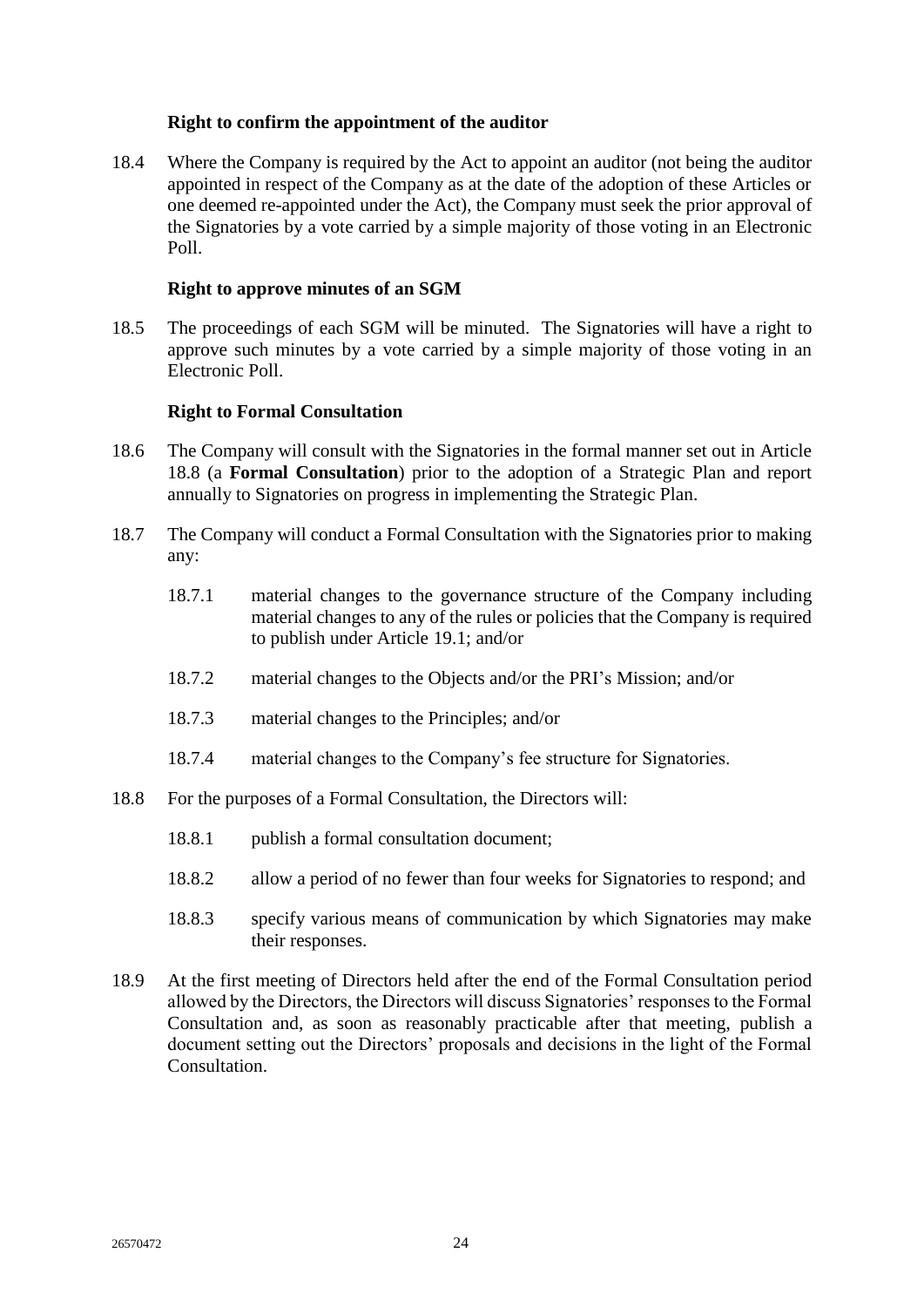## **Right to confirm the appointment of the auditor**

<span id="page-27-5"></span><span id="page-27-0"></span>18.4 Where the Company is required by the Act to appoint an auditor (not being the auditor appointed in respect of the Company as at the date of the adoption of these Articles or one deemed re-appointed under the Act), the Company must seek the prior approval of the Signatories by a vote carried by a simple majority of those voting in an Electronic Poll.

# **Right to approve minutes of an SGM**

<span id="page-27-1"></span>18.5 The proceedings of each SGM will be minuted. The Signatories will have a right to approve such minutes by a vote carried by a simple majority of those voting in an Electronic Poll.

# **Right to Formal Consultation**

- <span id="page-27-3"></span><span id="page-27-2"></span>18.6 The Company will consult with the Signatories in the formal manner set out in Article [18.8](#page-27-4) (a **Formal Consultation**) prior to the adoption of a Strategic Plan and report annually to Signatories on progress in implementing the Strategic Plan.
- 18.7 The Company will conduct a Formal Consultation with the Signatories prior to making any:
	- 18.7.1 material changes to the governance structure of the Company including material changes to any of the rules or policies that the Company is required to publish under Article [19.1;](#page-29-8) and/or
	- 18.7.2 material changes to the Objects and/or the PRI's Mission; and/or
	- 18.7.3 material changes to the Principles; and/or
	- 18.7.4 material changes to the Company's fee structure for Signatories.
- <span id="page-27-4"></span>18.8 For the purposes of a Formal Consultation, the Directors will:
	- 18.8.1 publish a formal consultation document;
	- 18.8.2 allow a period of no fewer than four weeks for Signatories to respond; and
	- 18.8.3 specify various means of communication by which Signatories may make their responses.
- 18.9 At the first meeting of Directors held after the end of the Formal Consultation period allowed by the Directors, the Directors will discuss Signatories' responses to the Formal Consultation and, as soon as reasonably practicable after that meeting, publish a document setting out the Directors' proposals and decisions in the light of the Formal **Consultation**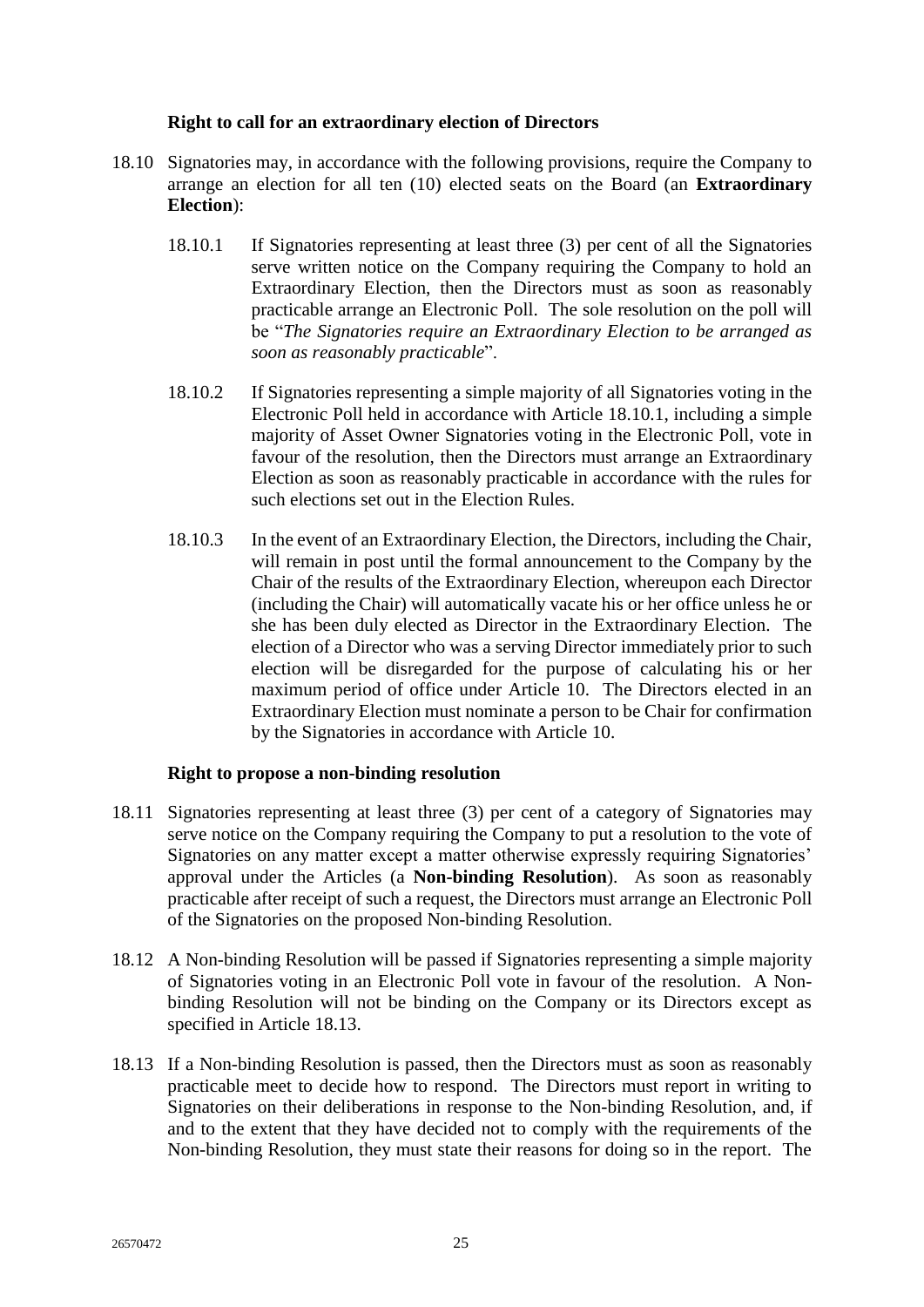## **Right to call for an extraordinary election of Directors**

- <span id="page-28-4"></span><span id="page-28-2"></span><span id="page-28-0"></span>18.10 Signatories may, in accordance with the following provisions, require the Company to arrange an election for all ten (10) elected seats on the Board (an **Extraordinary Election**):
	- 18.10.1 If Signatories representing at least three (3) per cent of all the Signatories serve written notice on the Company requiring the Company to hold an Extraordinary Election, then the Directors must as soon as reasonably practicable arrange an Electronic Poll. The sole resolution on the poll will be "*The Signatories require an Extraordinary Election to be arranged as soon as reasonably practicable*".
	- 18.10.2 If Signatories representing a simple majority of all Signatories voting in the Electronic Poll held in accordance with Article [18.10.1,](#page-28-4) including a simple majority of Asset Owner Signatories voting in the Electronic Poll, vote in favour of the resolution, then the Directors must arrange an Extraordinary Election as soon as reasonably practicable in accordance with the rules for such elections set out in the Election Rules.
	- 18.10.3 In the event of an Extraordinary Election, the Directors, including the Chair, will remain in post until the formal announcement to the Company by the Chair of the results of the Extraordinary Election, whereupon each Director (including the Chair) will automatically vacate his or her office unless he or she has been duly elected as Director in the Extraordinary Election. The election of a Director who was a serving Director immediately prior to such election will be disregarded for the purpose of calculating his or her maximum period of office under Article [10.](#page-15-0) The Directors elected in an Extraordinary Election must nominate a person to be Chair for confirmation by the Signatories in accordance with Article [10.](#page-15-0)

## **Right to propose a non-binding resolution**

- <span id="page-28-3"></span><span id="page-28-1"></span>18.11 Signatories representing at least three (3) per cent of a category of Signatories may serve notice on the Company requiring the Company to put a resolution to the vote of Signatories on any matter except a matter otherwise expressly requiring Signatories' approval under the Articles (a **Non-binding Resolution**). As soon as reasonably practicable after receipt of such a request, the Directors must arrange an Electronic Poll of the Signatories on the proposed Non-binding Resolution.
- 18.12 A Non-binding Resolution will be passed if Signatories representing a simple majority of Signatories voting in an Electronic Poll vote in favour of the resolution. A Nonbinding Resolution will not be binding on the Company or its Directors except as specified in Article [18.13.](#page-28-5)
- <span id="page-28-5"></span>18.13 If a Non-binding Resolution is passed, then the Directors must as soon as reasonably practicable meet to decide how to respond. The Directors must report in writing to Signatories on their deliberations in response to the Non-binding Resolution, and, if and to the extent that they have decided not to comply with the requirements of the Non-binding Resolution, they must state their reasons for doing so in the report. The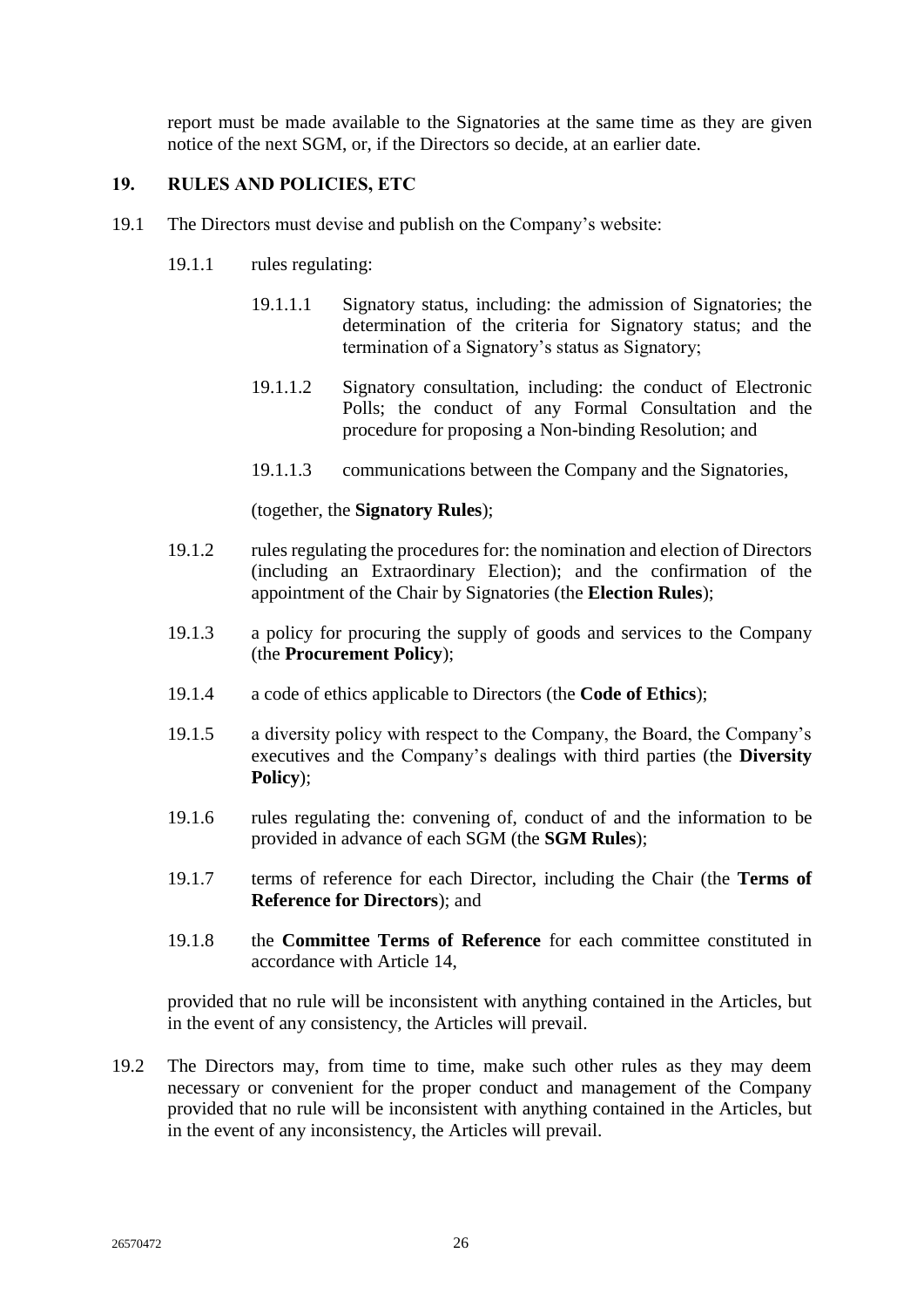report must be made available to the Signatories at the same time as they are given notice of the next SGM, or, if the Directors so decide, at an earlier date.

# <span id="page-29-0"></span>**19. RULES AND POLICIES, ETC**

- <span id="page-29-8"></span><span id="page-29-6"></span>19.1 The Directors must devise and publish on the Company's website:
	- 19.1.1 rules regulating:
		- 19.1.1.1 Signatory status, including: the admission of Signatories; the determination of the criteria for Signatory status; and the termination of a Signatory's status as Signatory;
		- 19.1.1.2 Signatory consultation, including: the conduct of Electronic Polls; the conduct of any Formal Consultation and the procedure for proposing a Non-binding Resolution; and
		- 19.1.1.3 communications between the Company and the Signatories,

(together, the **Signatory Rules**);

- <span id="page-29-3"></span>19.1.2 rules regulating the procedures for: the nomination and election of Directors (including an Extraordinary Election); and the confirmation of the appointment of the Chair by Signatories (the **Election Rules**);
- <span id="page-29-4"></span>19.1.3 a policy for procuring the supply of goods and services to the Company (the **Procurement Policy**);
- <span id="page-29-1"></span>19.1.4 a code of ethics applicable to Directors (the **Code of Ethics**);
- <span id="page-29-2"></span>19.1.5 a diversity policy with respect to the Company, the Board, the Company's executives and the Company's dealings with third parties (the **Diversity Policy**);
- <span id="page-29-5"></span>19.1.6 rules regulating the: convening of, conduct of and the information to be provided in advance of each SGM (the **SGM Rules**);
- <span id="page-29-7"></span>19.1.7 terms of reference for each Director, including the Chair (the **Terms of Reference for Directors**); and
- 19.1.8 the **Committee Terms of Reference** for each committee constituted in accordance with Article [14,](#page-23-2)

provided that no rule will be inconsistent with anything contained in the Articles, but in the event of any consistency, the Articles will prevail.

19.2 The Directors may, from time to time, make such other rules as they may deem necessary or convenient for the proper conduct and management of the Company provided that no rule will be inconsistent with anything contained in the Articles, but in the event of any inconsistency, the Articles will prevail.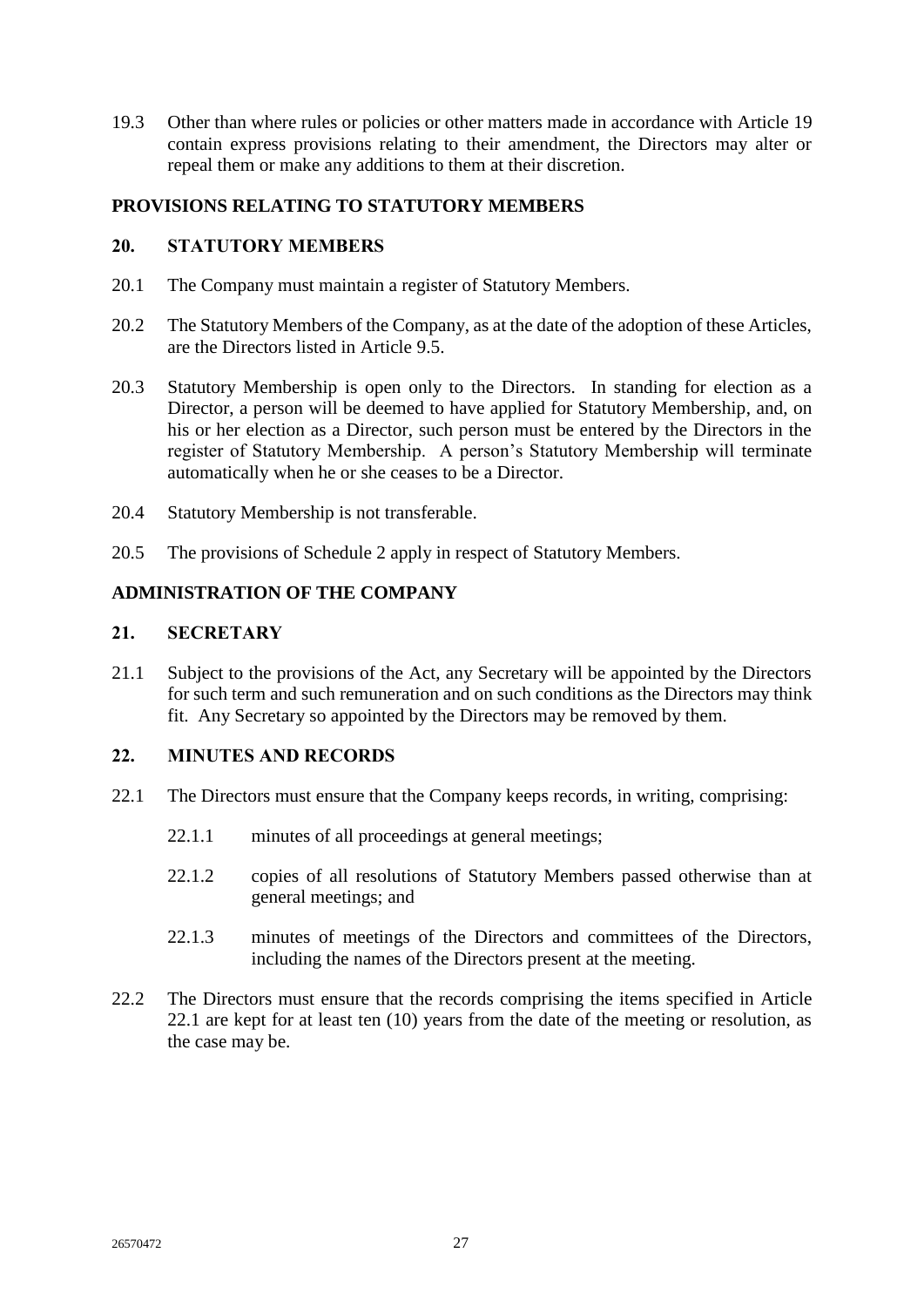19.3 Other than where rules or policies or other matters made in accordance with Article [19](#page-29-0) contain express provisions relating to their amendment, the Directors may alter or repeal them or make any additions to them at their discretion.

# <span id="page-30-0"></span>**PROVISIONS RELATING TO STATUTORY MEMBERS**

## <span id="page-30-1"></span>**20. STATUTORY MEMBERS**

- 20.1 The Company must maintain a register of Statutory Members.
- 20.2 The Statutory Members of the Company, as at the date of the adoption of these Articles, are the Directors listed in Article [9.5.](#page-13-5)
- 20.3 Statutory Membership is open only to the Directors. In standing for election as a Director, a person will be deemed to have applied for Statutory Membership, and, on his or her election as a Director, such person must be entered by the Directors in the register of Statutory Membership. A person's Statutory Membership will terminate automatically when he or she ceases to be a Director.
- 20.4 Statutory Membership is not transferable.
- 20.5 The provisions of Schedule 2 apply in respect of Statutory Members.

## <span id="page-30-2"></span>**ADMINISTRATION OF THE COMPANY**

#### <span id="page-30-3"></span>**21. SECRETARY**

21.1 Subject to the provisions of the Act, any Secretary will be appointed by the Directors for such term and such remuneration and on such conditions as the Directors may think fit. Any Secretary so appointed by the Directors may be removed by them.

# <span id="page-30-4"></span>**22. MINUTES AND RECORDS**

- <span id="page-30-5"></span>22.1 The Directors must ensure that the Company keeps records, in writing, comprising:
	- 22.1.1 minutes of all proceedings at general meetings;
	- 22.1.2 copies of all resolutions of Statutory Members passed otherwise than at general meetings; and
	- 22.1.3 minutes of meetings of the Directors and committees of the Directors, including the names of the Directors present at the meeting.
- 22.2 The Directors must ensure that the records comprising the items specified in Article [22.1](#page-30-5) are kept for at least ten (10) years from the date of the meeting or resolution, as the case may be.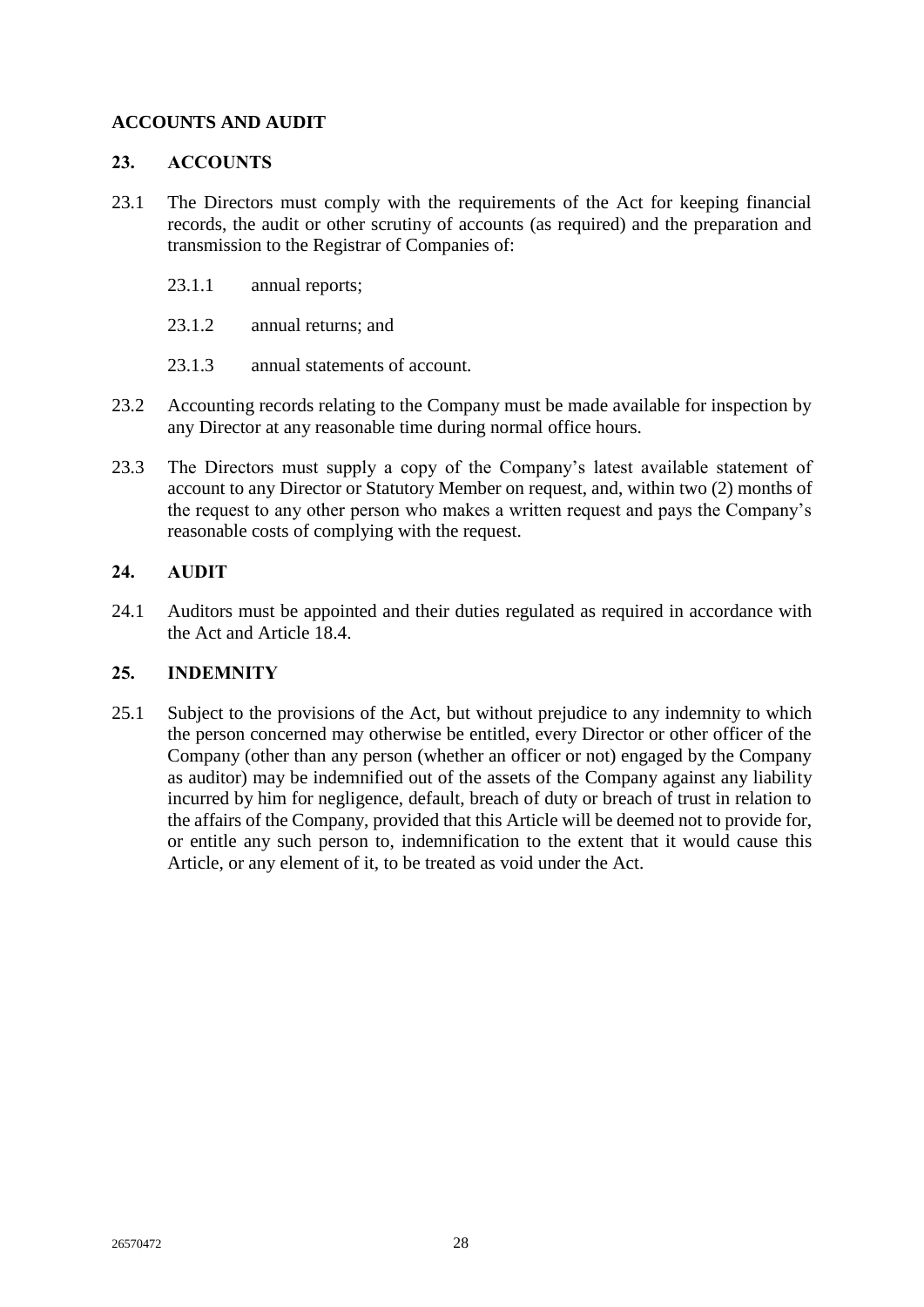# <span id="page-31-0"></span>**ACCOUNTS AND AUDIT**

## <span id="page-31-1"></span>**23. ACCOUNTS**

- 23.1 The Directors must comply with the requirements of the Act for keeping financial records, the audit or other scrutiny of accounts (as required) and the preparation and transmission to the Registrar of Companies of:
	- 23.1.1 annual reports;
	- 23.1.2 annual returns; and
	- 23.1.3 annual statements of account.
- 23.2 Accounting records relating to the Company must be made available for inspection by any Director at any reasonable time during normal office hours.
- 23.3 The Directors must supply a copy of the Company's latest available statement of account to any Director or Statutory Member on request, and, within two (2) months of the request to any other person who makes a written request and pays the Company's reasonable costs of complying with the request.

# <span id="page-31-2"></span>**24. AUDIT**

24.1 Auditors must be appointed and their duties regulated as required in accordance with the Act and Article [18.4.](#page-27-5)

## <span id="page-31-3"></span>**25. INDEMNITY**

25.1 Subject to the provisions of the Act, but without prejudice to any indemnity to which the person concerned may otherwise be entitled, every Director or other officer of the Company (other than any person (whether an officer or not) engaged by the Company as auditor) may be indemnified out of the assets of the Company against any liability incurred by him for negligence, default, breach of duty or breach of trust in relation to the affairs of the Company, provided that this Article will be deemed not to provide for, or entitle any such person to, indemnification to the extent that it would cause this Article, or any element of it, to be treated as void under the Act.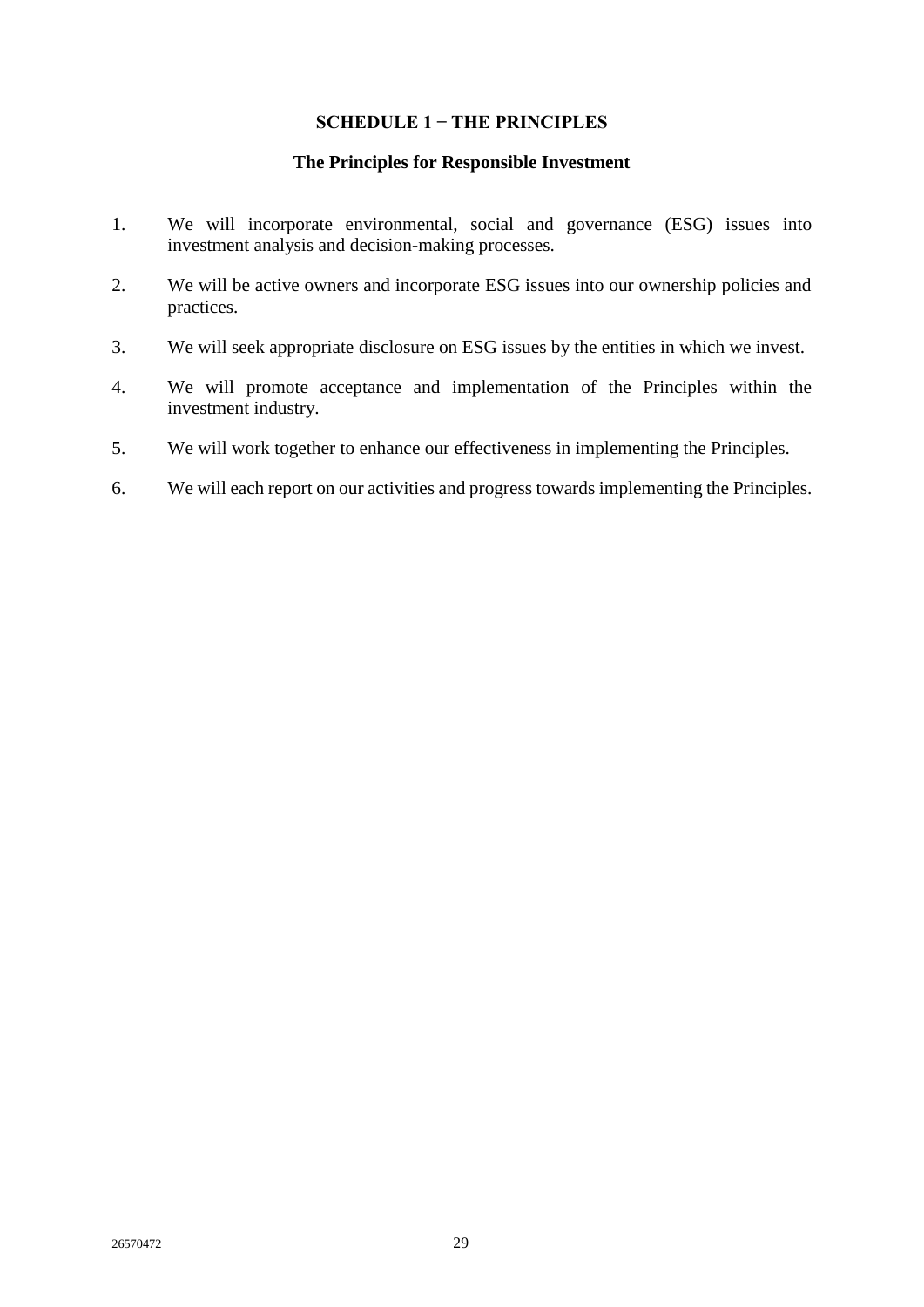# **SCHEDULE 1 ̶ THE PRINCIPLES**

#### **The Principles for Responsible Investment**

- <span id="page-32-0"></span>1. We will incorporate environmental, social and governance (ESG) issues into investment analysis and decision-making processes.
- 2. We will be active owners and incorporate ESG issues into our ownership policies and practices.
- 3. We will seek appropriate disclosure on ESG issues by the entities in which we invest.
- 4. We will promote acceptance and implementation of the Principles within the investment industry.
- 5. We will work together to enhance our effectiveness in implementing the Principles.
- 6. We will each report on our activities and progress towards implementing the Principles.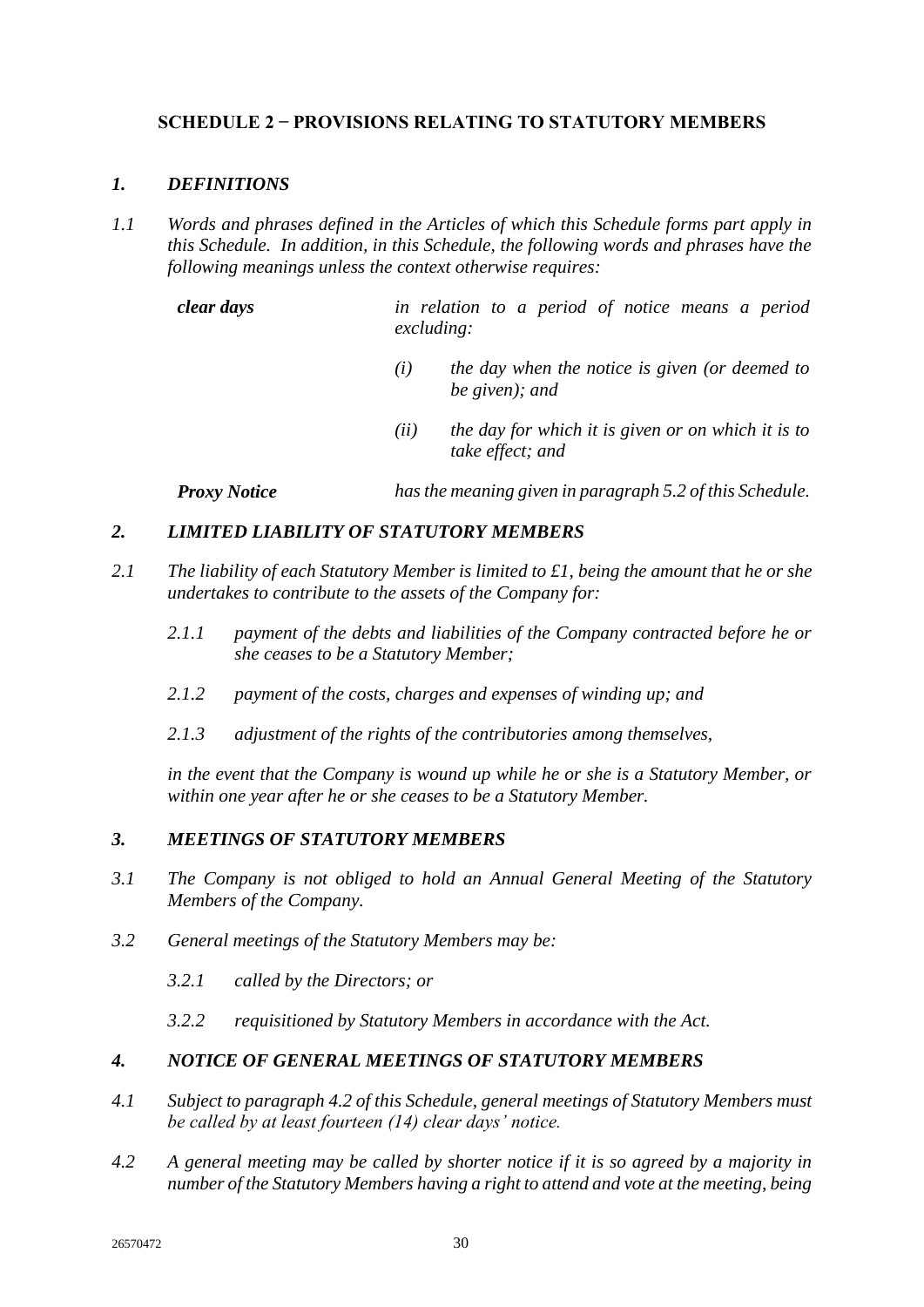# <span id="page-33-0"></span>**SCHEDULE 2 ̶ PROVISIONS RELATING TO STATUTORY MEMBERS**

# *1. DEFINITIONS*

*1.1 Words and phrases defined in the Articles of which this Schedule forms part apply in this Schedule. In addition, in this Schedule, the following words and phrases have the following meanings unless the context otherwise requires:*

*clear days in relation to a period of notice means a period excluding:*

- *(i) the day when the notice is given (or deemed to be given); and*
- *(ii) the day for which it is given or on which it is to take effect; and*

*Proxy Notice has the meaning given in paragraph 5.2 of this Schedule.*

# *2. LIMITED LIABILITY OF STATUTORY MEMBERS*

- *2.1 The liability of each Statutory Member is limited to £1, being the amount that he or she undertakes to contribute to the assets of the Company for:*
	- *2.1.1 payment of the debts and liabilities of the Company contracted before he or she ceases to be a Statutory Member;*
	- *2.1.2 payment of the costs, charges and expenses of winding up; and*
	- *2.1.3 adjustment of the rights of the contributories among themselves,*

*in the event that the Company is wound up while he or she is a Statutory Member, or within one year after he or she ceases to be a Statutory Member.*

# *3. MEETINGS OF STATUTORY MEMBERS*

- *3.1 The Company is not obliged to hold an Annual General Meeting of the Statutory Members of the Company.*
- *3.2 General meetings of the Statutory Members may be:*
	- *3.2.1 called by the Directors; or*
	- *3.2.2 requisitioned by Statutory Members in accordance with the Act.*

## *4. NOTICE OF GENERAL MEETINGS OF STATUTORY MEMBERS*

- *4.1 Subject to paragraph 4.2 of this Schedule, general meetings of Statutory Members must be called by at least fourteen (14) clear days' notice.*
- *4.2 A general meeting may be called by shorter notice if it is so agreed by a majority in number of the Statutory Members having a right to attend and vote at the meeting, being*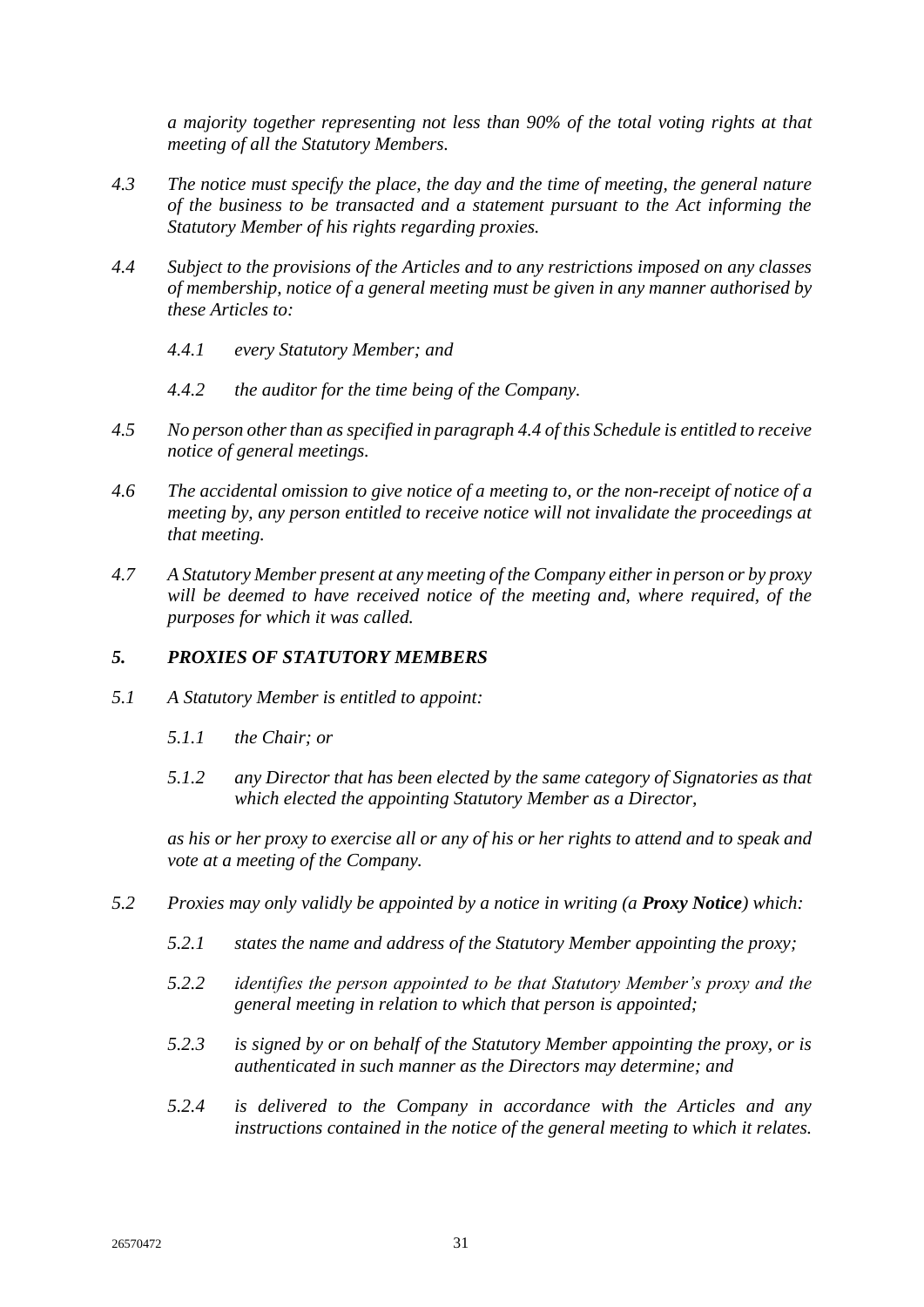*a majority together representing not less than 90% of the total voting rights at that meeting of all the Statutory Members.*

- *4.3 The notice must specify the place, the day and the time of meeting, the general nature of the business to be transacted and a statement pursuant to the Act informing the Statutory Member of his rights regarding proxies.*
- *4.4 Subject to the provisions of the Articles and to any restrictions imposed on any classes of membership, notice of a general meeting must be given in any manner authorised by these Articles to:*
	- *4.4.1 every Statutory Member; and*
	- *4.4.2 the auditor for the time being of the Company.*
- *4.5 No person other than as specified in paragraph 4.4 of this Schedule is entitled to receive notice of general meetings.*
- *4.6 The accidental omission to give notice of a meeting to, or the non-receipt of notice of a meeting by, any person entitled to receive notice will not invalidate the proceedings at that meeting.*
- *4.7 A Statutory Member present at any meeting of the Company either in person or by proxy will be deemed to have received notice of the meeting and, where required, of the purposes for which it was called.*

# *5. PROXIES OF STATUTORY MEMBERS*

- *5.1 A Statutory Member is entitled to appoint:*
	- *5.1.1 the Chair; or*
	- *5.1.2 any Director that has been elected by the same category of Signatories as that which elected the appointing Statutory Member as a Director,*

*as his or her proxy to exercise all or any of his or her rights to attend and to speak and vote at a meeting of the Company.*

- *5.2 Proxies may only validly be appointed by a notice in writing (a Proxy Notice) which:*
	- *5.2.1 states the name and address of the Statutory Member appointing the proxy;*
	- *5.2.2 identifies the person appointed to be that Statutory Member's proxy and the general meeting in relation to which that person is appointed;*
	- *5.2.3 is signed by or on behalf of the Statutory Member appointing the proxy, or is authenticated in such manner as the Directors may determine; and*
	- *5.2.4 is delivered to the Company in accordance with the Articles and any instructions contained in the notice of the general meeting to which it relates.*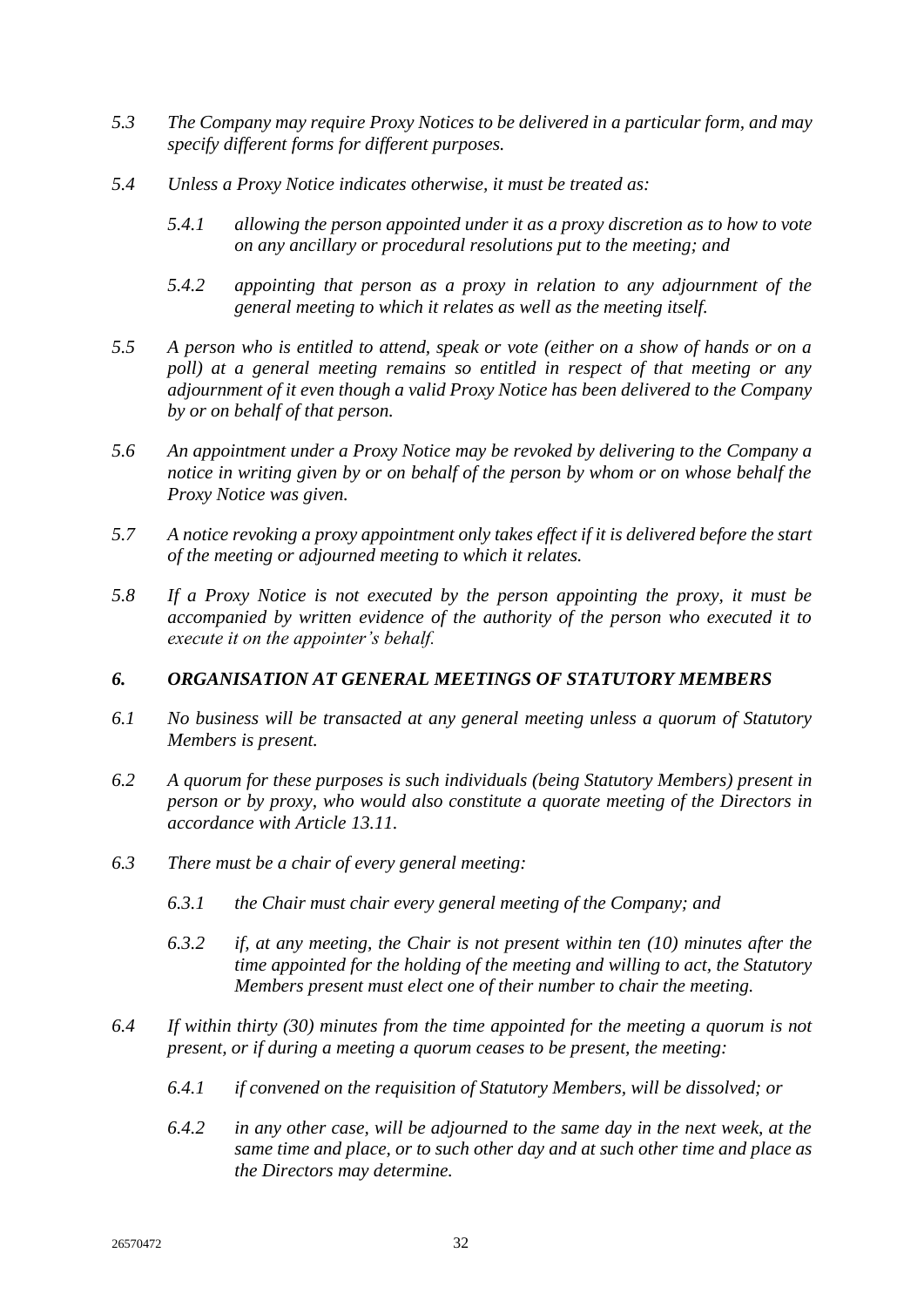- *5.3 The Company may require Proxy Notices to be delivered in a particular form, and may specify different forms for different purposes.*
- *5.4 Unless a Proxy Notice indicates otherwise, it must be treated as:*
	- *5.4.1 allowing the person appointed under it as a proxy discretion as to how to vote on any ancillary or procedural resolutions put to the meeting; and*
	- *5.4.2 appointing that person as a proxy in relation to any adjournment of the general meeting to which it relates as well as the meeting itself.*
- *5.5 A person who is entitled to attend, speak or vote (either on a show of hands or on a poll) at a general meeting remains so entitled in respect of that meeting or any adjournment of it even though a valid Proxy Notice has been delivered to the Company by or on behalf of that person.*
- *5.6 An appointment under a Proxy Notice may be revoked by delivering to the Company a notice in writing given by or on behalf of the person by whom or on whose behalf the Proxy Notice was given.*
- *5.7 A notice revoking a proxy appointment only takes effect if it is delivered before the start of the meeting or adjourned meeting to which it relates.*
- *5.8 If a Proxy Notice is not executed by the person appointing the proxy, it must be accompanied by written evidence of the authority of the person who executed it to execute it on the appointer's behalf.*

# *6. ORGANISATION AT GENERAL MEETINGS OF STATUTORY MEMBERS*

- *6.1 No business will be transacted at any general meeting unless a quorum of Statutory Members is present.*
- *6.2 A quorum for these purposes is such individuals (being Statutory Members) present in person or by proxy, who would also constitute a quorate meeting of the Directors in accordance with Article [13.11.](#page-21-4)*
- *6.3 There must be a chair of every general meeting:*
	- *6.3.1 the Chair must chair every general meeting of the Company; and*
	- *6.3.2 if, at any meeting, the Chair is not present within ten (10) minutes after the time appointed for the holding of the meeting and willing to act, the Statutory Members present must elect one of their number to chair the meeting.*
- *6.4 If within thirty (30) minutes from the time appointed for the meeting a quorum is not present, or if during a meeting a quorum ceases to be present, the meeting:*
	- *6.4.1 if convened on the requisition of Statutory Members, will be dissolved; or*
	- *6.4.2 in any other case, will be adjourned to the same day in the next week, at the same time and place, or to such other day and at such other time and place as the Directors may determine.*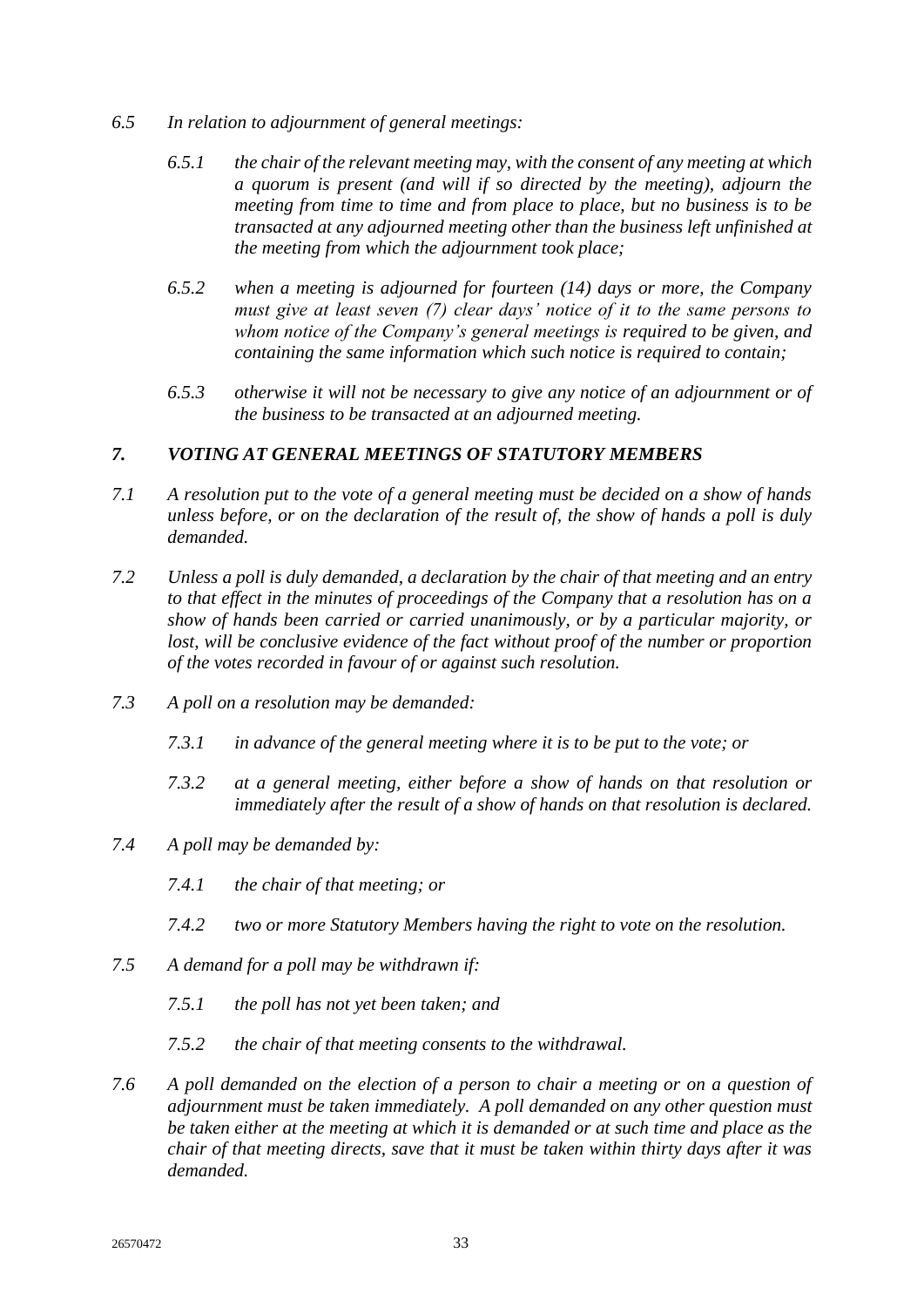- *6.5 In relation to adjournment of general meetings:*
	- *6.5.1 the chair of the relevant meeting may, with the consent of any meeting at which a quorum is present (and will if so directed by the meeting), adjourn the meeting from time to time and from place to place, but no business is to be transacted at any adjourned meeting other than the business left unfinished at the meeting from which the adjournment took place;*
	- *6.5.2 when a meeting is adjourned for fourteen (14) days or more, the Company must give at least seven (7) clear days' notice of it to the same persons to whom notice of the Company's general meetings is required to be given, and containing the same information which such notice is required to contain;*
	- *6.5.3 otherwise it will not be necessary to give any notice of an adjournment or of the business to be transacted at an adjourned meeting.*

# *7. VOTING AT GENERAL MEETINGS OF STATUTORY MEMBERS*

- *7.1 A resolution put to the vote of a general meeting must be decided on a show of hands unless before, or on the declaration of the result of, the show of hands a poll is duly demanded.*
- *7.2 Unless a poll is duly demanded, a declaration by the chair of that meeting and an entry to that effect in the minutes of proceedings of the Company that a resolution has on a show of hands been carried or carried unanimously, or by a particular majority, or lost, will be conclusive evidence of the fact without proof of the number or proportion of the votes recorded in favour of or against such resolution.*
- *7.3 A poll on a resolution may be demanded:*
	- *7.3.1 in advance of the general meeting where it is to be put to the vote; or*
	- *7.3.2 at a general meeting, either before a show of hands on that resolution or immediately after the result of a show of hands on that resolution is declared.*
- *7.4 A poll may be demanded by:*
	- *7.4.1 the chair of that meeting; or*
	- *7.4.2 two or more Statutory Members having the right to vote on the resolution.*
- *7.5 A demand for a poll may be withdrawn if:*
	- *7.5.1 the poll has not yet been taken; and*
	- *7.5.2 the chair of that meeting consents to the withdrawal.*
- *7.6 A poll demanded on the election of a person to chair a meeting or on a question of adjournment must be taken immediately. A poll demanded on any other question must be taken either at the meeting at which it is demanded or at such time and place as the chair of that meeting directs, save that it must be taken within thirty days after it was demanded.*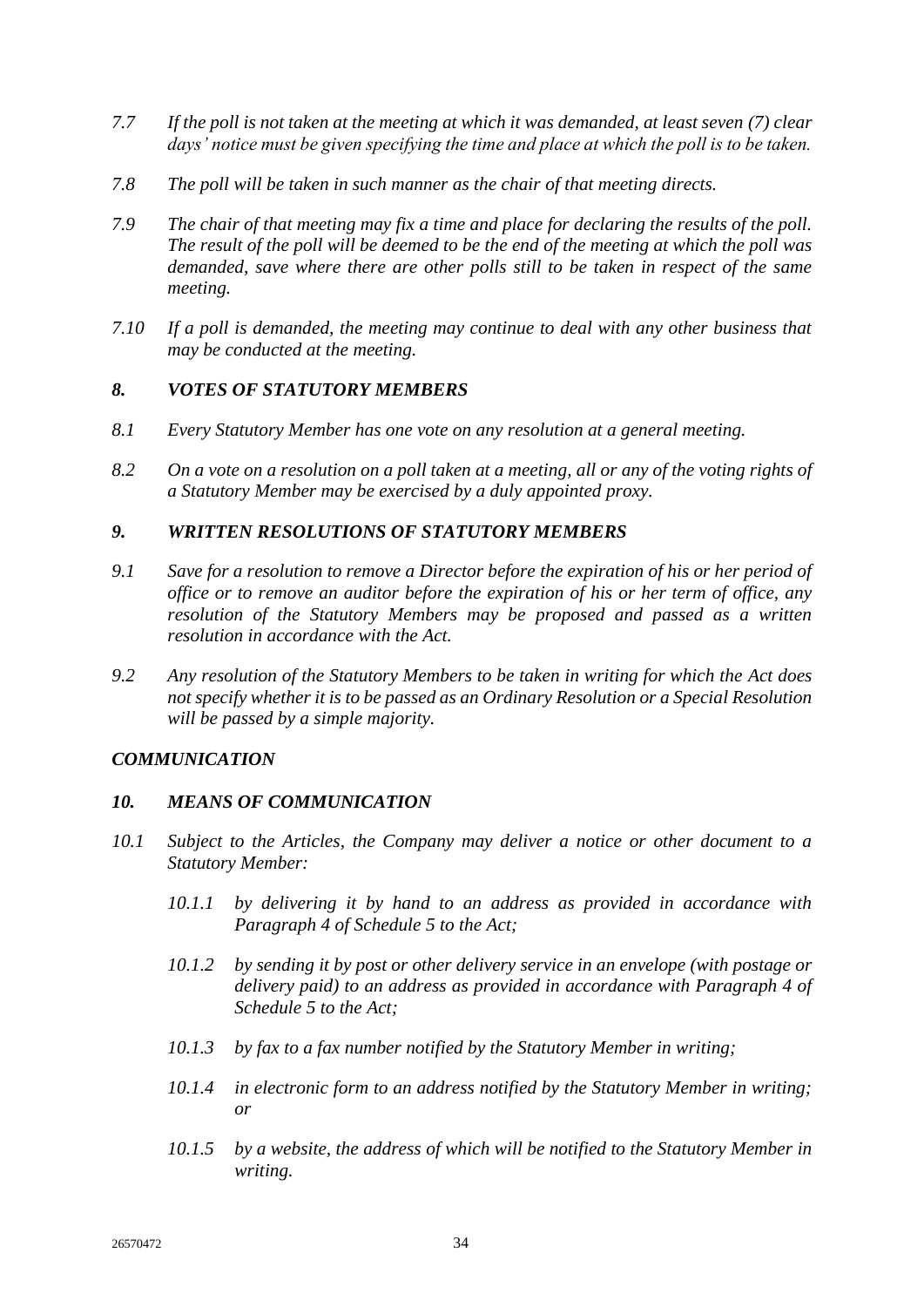- *7.7 If the poll is not taken at the meeting at which it was demanded, at least seven (7) clear days' notice must be given specifying the time and place at which the poll is to be taken.*
- *7.8 The poll will be taken in such manner as the chair of that meeting directs.*
- *7.9 The chair of that meeting may fix a time and place for declaring the results of the poll. The result of the poll will be deemed to be the end of the meeting at which the poll was demanded, save where there are other polls still to be taken in respect of the same meeting.*
- *7.10 If a poll is demanded, the meeting may continue to deal with any other business that may be conducted at the meeting.*

# *8. VOTES OF STATUTORY MEMBERS*

- *8.1 Every Statutory Member has one vote on any resolution at a general meeting.*
- *8.2 On a vote on a resolution on a poll taken at a meeting, all or any of the voting rights of a Statutory Member may be exercised by a duly appointed proxy.*

# *9. WRITTEN RESOLUTIONS OF STATUTORY MEMBERS*

- *9.1 Save for a resolution to remove a Director before the expiration of his or her period of office or to remove an auditor before the expiration of his or her term of office, any resolution of the Statutory Members may be proposed and passed as a written resolution in accordance with the Act.*
- *9.2 Any resolution of the Statutory Members to be taken in writing for which the Act does not specify whether it is to be passed as an Ordinary Resolution or a Special Resolution will be passed by a simple majority.*

# *COMMUNICATION*

## *10. MEANS OF COMMUNICATION*

- *10.1 Subject to the Articles, the Company may deliver a notice or other document to a Statutory Member:*
	- *10.1.1 by delivering it by hand to an address as provided in accordance with Paragraph 4 of Schedule 5 to the Act;*
	- *10.1.2 by sending it by post or other delivery service in an envelope (with postage or delivery paid) to an address as provided in accordance with Paragraph 4 of Schedule 5 to the Act;*
	- *10.1.3 by fax to a fax number notified by the Statutory Member in writing;*
	- *10.1.4 in electronic form to an address notified by the Statutory Member in writing; or*
	- *10.1.5 by a website, the address of which will be notified to the Statutory Member in writing.*